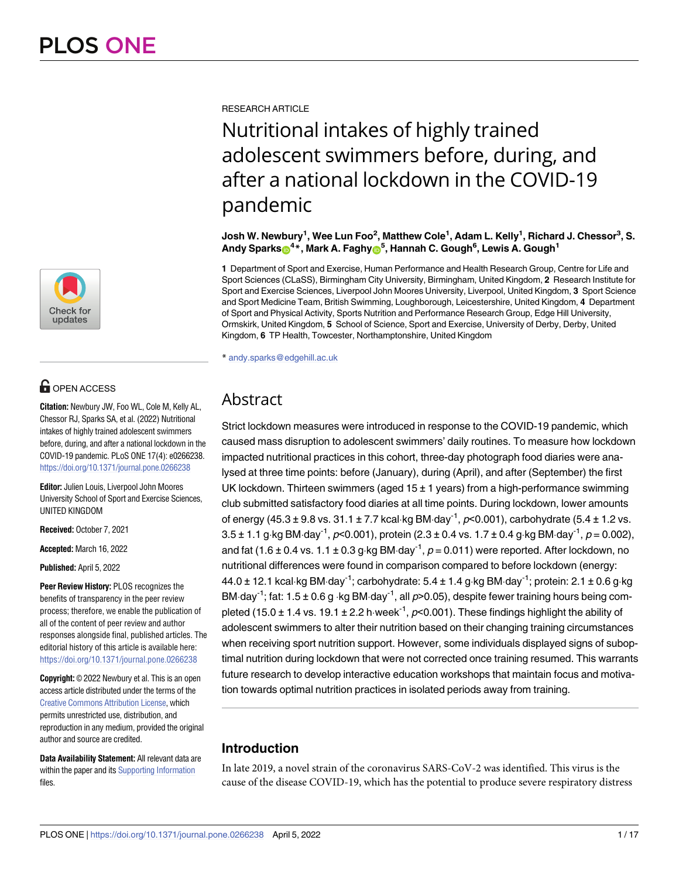

## **OPEN ACCESS**

**Citation:** Newbury JW, Foo WL, Cole M, Kelly AL, Chessor RJ, Sparks SA, et al. (2022) Nutritional intakes of highly trained adolescent swimmers before, during, and after a national lockdown in the COVID-19 pandemic. PLoS ONE 17(4): e0266238. <https://doi.org/10.1371/journal.pone.0266238>

**Editor:** Julien Louis, Liverpool John Moores University School of Sport and Exercise Sciences, UNITED KINGDOM

**Received:** October 7, 2021

**Accepted:** March 16, 2022

**Published:** April 5, 2022

**Peer Review History:** PLOS recognizes the benefits of transparency in the peer review process; therefore, we enable the publication of all of the content of peer review and author responses alongside final, published articles. The editorial history of this article is available here: <https://doi.org/10.1371/journal.pone.0266238>

**Copyright:** © 2022 Newbury et al. This is an open access article distributed under the terms of the Creative Commons [Attribution](http://creativecommons.org/licenses/by/4.0/) License, which permits unrestricted use, distribution, and reproduction in any medium, provided the original author and source are credited.

**Data Availability Statement:** All relevant data are within the paper and its Supporting [Information](#page-12-0) files.

RESEARCH ARTICLE

# Nutritional intakes of highly trained adolescent swimmers before, during, and after a national lockdown in the COVID-19 pandemic

Josh W. Newbury<sup>1</sup>, Wee Lun Foo<sup>2</sup>, Matthew Cole<sup>1</sup>, Adam L. Kelly<sup>1</sup>, Richard J. Chessor<sup>3</sup>, S.  ${\sf Andy}$  Sparks $\circledbullet^{\bf 4\ast}$ , Mark A. Faghy $\circledbullet^{\bf 5}$ , Hannah C. Gough<sup>6</sup>, Lewis A. Gough<sup>1</sup>

**1** Department of Sport and Exercise, Human Performance and Health Research Group, Centre for Life and Sport Sciences (CLaSS), Birmingham City University, Birmingham, United Kingdom, **2** Research Institute for Sport and Exercise Sciences, Liverpool John Moores University, Liverpool, United Kingdom, **3** Sport Science and Sport Medicine Team, British Swimming, Loughborough, Leicestershire, United Kingdom, **4** Department of Sport and Physical Activity, Sports Nutrition and Performance Research Group, Edge Hill University, Ormskirk, United Kingdom, **5** School of Science, Sport and Exercise, University of Derby, Derby, United Kingdom, **6** TP Health, Towcester, Northamptonshire, United Kingdom

\* andy.sparks@edgehill.ac.uk

## Abstract

Strict lockdown measures were introduced in response to the COVID-19 pandemic, which caused mass disruption to adolescent swimmers' daily routines. To measure how lockdown impacted nutritional practices in this cohort, three-day photograph food diaries were analysed at three time points: before (January), during (April), and after (September) the first UK lockdown. Thirteen swimmers (aged  $15 \pm 1$  years) from a high-performance swimming club submitted satisfactory food diaries at all time points. During lockdown, lower amounts of energy (45.3 ± 9.8 vs. 31.1 ± 7.7 kcal·kg BM·day<sup>-1</sup>,  $p$ <0.001), carbohydrate (5.4 ± 1.2 vs.  $3.5 \pm 1.1$  g·kg BM·day<sup>-1</sup>, p<0.001), protein (2.3  $\pm$  0.4 vs. 1.7  $\pm$  0.4 g·kg BM·day<sup>-1</sup>, p = 0.002), and fat (1.6  $\pm$  0.4 vs. 1.1  $\pm$  0.3 g·kg BM·day<sup>-1</sup>,  $p = 0.011$ ) were reported. After lockdown, no nutritional differences were found in comparison compared to before lockdown (energy:  $44.0 \pm 12.1$  kcal·kg BM·day<sup>-1</sup>; carbohydrate:  $5.4 \pm 1.4$  g·kg BM·day<sup>-1</sup>; protein: 2.1  $\pm$  0.6 g·kg BM·day<sup>-1</sup>; fat: 1.5 ± 0.6 g ·kg BM·day<sup>-1</sup>, all  $p$ >0.05), despite fewer training hours being completed (15.0  $\pm$  1.4 vs. 19.1  $\pm$  2.2 h⋅week<sup>-1</sup>, p<0.001). These findings highlight the ability of adolescent swimmers to alter their nutrition based on their changing training circumstances when receiving sport nutrition support. However, some individuals displayed signs of suboptimal nutrition during lockdown that were not corrected once training resumed. This warrants future research to develop interactive education workshops that maintain focus and motivation towards optimal nutrition practices in isolated periods away from training.

### **Introduction**

In late 2019, a novel strain of the coronavirus SARS-CoV-2 was identified. This virus is the cause of the disease COVID-19, which has the potential to produce severe respiratory distress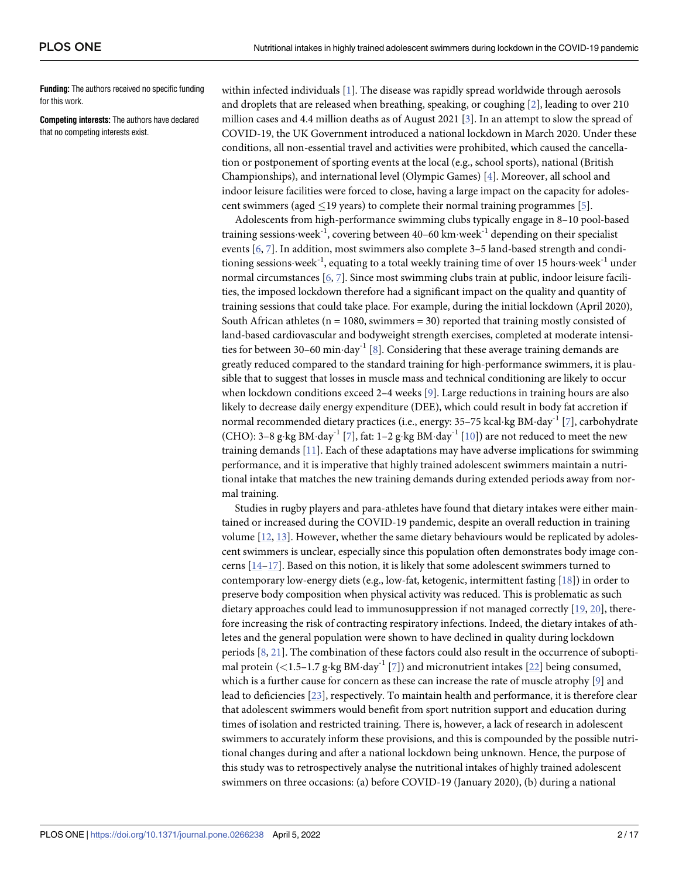<span id="page-1-0"></span>**Funding:** The authors received no specific funding for this work.

**Competing interests:** The authors have declared that no competing interests exist.

within infected individuals [\[1\]](#page-13-0). The disease was rapidly spread worldwide through aerosols and droplets that are released when breathing, speaking, or coughing [\[2\]](#page-13-0), leading to over 210 million cases and 4.4 million deaths as of August 2021 [[3](#page-13-0)]. In an attempt to slow the spread of COVID-19, the UK Government introduced a national lockdown in March 2020. Under these conditions, all non-essential travel and activities were prohibited, which caused the cancellation or postponement of sporting events at the local (e.g., school sports), national (British Championships), and international level (Olympic Games) [\[4](#page-13-0)]. Moreover, all school and indoor leisure facilities were forced to close, having a large impact on the capacity for adolescent swimmers (aged  $\leq$ 19 years) to complete their normal training programmes [\[5](#page-13-0)].

Adolescents from high-performance swimming clubs typically engage in 8–10 pool-based training sessions week<sup>-1</sup>, covering between 40–60 km week<sup>-1</sup> depending on their specialist events [[6](#page-13-0), [7\]](#page-13-0). In addition, most swimmers also complete 3–5 land-based strength and conditioning sessions week<sup>-1</sup>, equating to a total weekly training time of over 15 hours week<sup>-1</sup> under normal circumstances [[6,](#page-13-0) [7\]](#page-13-0). Since most swimming clubs train at public, indoor leisure facilities, the imposed lockdown therefore had a significant impact on the quality and quantity of training sessions that could take place. For example, during the initial lockdown (April 2020), South African athletes ( $n = 1080$ , swimmers = 30) reported that training mostly consisted of land-based cardiovascular and bodyweight strength exercises, completed at moderate intensities for between 30–60 min $\cdot$ day<sup>-1</sup> [\[8\]](#page-13-0). Considering that these average training demands are greatly reduced compared to the standard training for high-performance swimmers, it is plausible that to suggest that losses in muscle mass and technical conditioning are likely to occur when lockdown conditions exceed 2–4 weeks [[9\]](#page-13-0). Large reductions in training hours are also likely to decrease daily energy expenditure (DEE), which could result in body fat accretion if normal recommended dietary practices (i.e., energy:  $35-75$  kcal·kg BM·day<sup>-1</sup> [\[7\]](#page-13-0), carbohydrate (CHO): 3–8 g·kg BM·day<sup>-1</sup> [\[7](#page-13-0)], fat: 1–2 g·kg BM·day<sup>-1</sup> [\[10\]](#page-13-0)) are not reduced to meet the new training demands [\[11\]](#page-14-0). Each of these adaptations may have adverse implications for swimming performance, and it is imperative that highly trained adolescent swimmers maintain a nutritional intake that matches the new training demands during extended periods away from normal training.

Studies in rugby players and para-athletes have found that dietary intakes were either maintained or increased during the COVID-19 pandemic, despite an overall reduction in training volume [\[12,](#page-14-0) [13\]](#page-14-0). However, whether the same dietary behaviours would be replicated by adolescent swimmers is unclear, especially since this population often demonstrates body image concerns [[14](#page-14-0)–[17](#page-14-0)]. Based on this notion, it is likely that some adolescent swimmers turned to contemporary low-energy diets (e.g., low-fat, ketogenic, intermittent fasting [[18](#page-14-0)]) in order to preserve body composition when physical activity was reduced. This is problematic as such dietary approaches could lead to immunosuppression if not managed correctly [\[19,](#page-14-0) [20\]](#page-14-0), therefore increasing the risk of contracting respiratory infections. Indeed, the dietary intakes of athletes and the general population were shown to have declined in quality during lockdown periods [\[8](#page-13-0), [21\]](#page-14-0). The combination of these factors could also result in the occurrence of subopti-mal protein (<1.5-1.7 g·kg BM·day<sup>-1</sup> [\[7](#page-13-0)]) and micronutrient intakes [\[22\]](#page-14-0) being consumed, which is a further cause for concern as these can increase the rate of muscle atrophy [\[9\]](#page-13-0) and lead to deficiencies [[23](#page-14-0)], respectively. To maintain health and performance, it is therefore clear that adolescent swimmers would benefit from sport nutrition support and education during times of isolation and restricted training. There is, however, a lack of research in adolescent swimmers to accurately inform these provisions, and this is compounded by the possible nutritional changes during and after a national lockdown being unknown. Hence, the purpose of this study was to retrospectively analyse the nutritional intakes of highly trained adolescent swimmers on three occasions: (a) before COVID-19 (January 2020), (b) during a national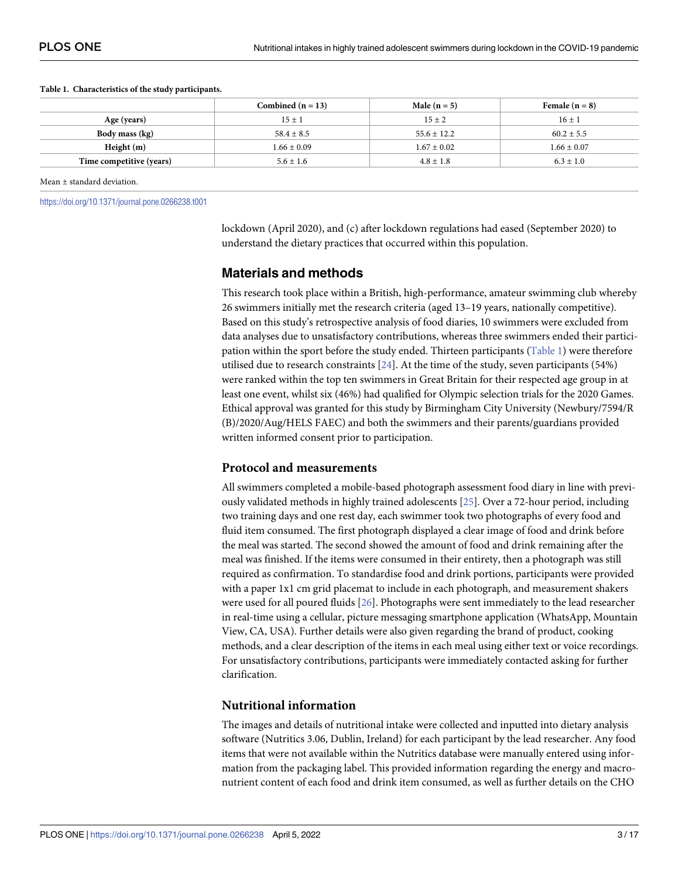<span id="page-2-0"></span>

| Table 1. Characteristics of the study participants. |  |
|-----------------------------------------------------|--|
|-----------------------------------------------------|--|

|                          | Combined $(n = 13)$ | Male $(n = 5)$  | Female $(n = 8)$ |
|--------------------------|---------------------|-----------------|------------------|
| Age (years)              | $15 \pm 1$          | $15 \pm 2$      | $16 \pm 1$       |
| Body mass (kg)           | $58.4 \pm 8.5$      | $55.6 \pm 12.2$ | $60.2 \pm 5.5$   |
| Height $(m)$             | $1.66 \pm 0.09$     | $1.67 \pm 0.02$ | $1.66 \pm 0.07$  |
| Time competitive (years) | $5.6 \pm 1.6$       | $4.8 \pm 1.8$   | $6.3 \pm 1.0$    |
|                          |                     |                 |                  |

Mean ± standard deviation.

<https://doi.org/10.1371/journal.pone.0266238.t001>

lockdown (April 2020), and (c) after lockdown regulations had eased (September 2020) to understand the dietary practices that occurred within this population.

#### **Materials and methods**

This research took place within a British, high-performance, amateur swimming club whereby 26 swimmers initially met the research criteria (aged 13–19 years, nationally competitive). Based on this study's retrospective analysis of food diaries, 10 swimmers were excluded from data analyses due to unsatisfactory contributions, whereas three swimmers ended their participation within the sport before the study ended. Thirteen participants (Table 1) were therefore utilised due to research constraints [[24](#page-14-0)]. At the time of the study, seven participants (54%) were ranked within the top ten swimmers in Great Britain for their respected age group in at least one event, whilst six (46%) had qualified for Olympic selection trials for the 2020 Games. Ethical approval was granted for this study by Birmingham City University (Newbury/7594/R (B)/2020/Aug/HELS FAEC) and both the swimmers and their parents/guardians provided written informed consent prior to participation.

#### **Protocol and measurements**

All swimmers completed a mobile-based photograph assessment food diary in line with previously validated methods in highly trained adolescents [[25](#page-14-0)]. Over a 72-hour period, including two training days and one rest day, each swimmer took two photographs of every food and fluid item consumed. The first photograph displayed a clear image of food and drink before the meal was started. The second showed the amount of food and drink remaining after the meal was finished. If the items were consumed in their entirety, then a photograph was still required as confirmation. To standardise food and drink portions, participants were provided with a paper 1x1 cm grid placemat to include in each photograph, and measurement shakers were used for all poured fluids [[26](#page-14-0)]. Photographs were sent immediately to the lead researcher in real-time using a cellular, picture messaging smartphone application (WhatsApp, Mountain View, CA, USA). Further details were also given regarding the brand of product, cooking methods, and a clear description of the items in each meal using either text or voice recordings. For unsatisfactory contributions, participants were immediately contacted asking for further clarification.

#### **Nutritional information**

The images and details of nutritional intake were collected and inputted into dietary analysis software (Nutritics 3.06, Dublin, Ireland) for each participant by the lead researcher. Any food items that were not available within the Nutritics database were manually entered using information from the packaging label. This provided information regarding the energy and macronutrient content of each food and drink item consumed, as well as further details on the CHO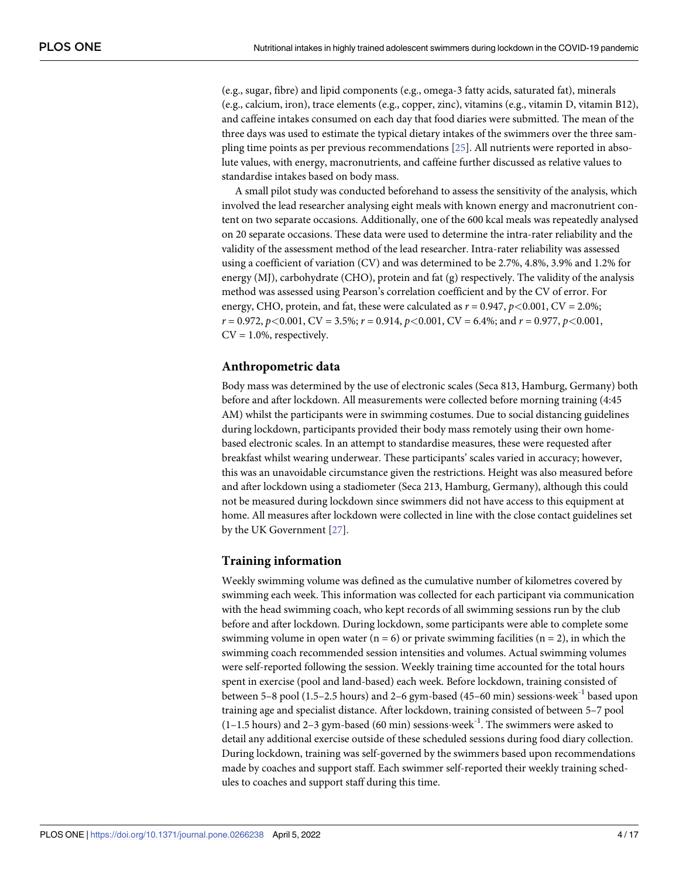<span id="page-3-0"></span>(e.g., sugar, fibre) and lipid components (e.g., omega-3 fatty acids, saturated fat), minerals (e.g., calcium, iron), trace elements (e.g., copper, zinc), vitamins (e.g., vitamin D, vitamin B12), and caffeine intakes consumed on each day that food diaries were submitted. The mean of the three days was used to estimate the typical dietary intakes of the swimmers over the three sampling time points as per previous recommendations [[25\]](#page-14-0). All nutrients were reported in absolute values, with energy, macronutrients, and caffeine further discussed as relative values to standardise intakes based on body mass.

A small pilot study was conducted beforehand to assess the sensitivity of the analysis, which involved the lead researcher analysing eight meals with known energy and macronutrient content on two separate occasions. Additionally, one of the 600 kcal meals was repeatedly analysed on 20 separate occasions. These data were used to determine the intra-rater reliability and the validity of the assessment method of the lead researcher. Intra-rater reliability was assessed using a coefficient of variation (CV) and was determined to be 2.7%, 4.8%, 3.9% and 1.2% for energy (MJ), carbohydrate (CHO), protein and fat (g) respectively. The validity of the analysis method was assessed using Pearson's correlation coefficient and by the CV of error. For energy, CHO, protein, and fat, these were calculated as  $r = 0.947$ ,  $p < 0.001$ , CV = 2.0%; *r* = 0.972, *p<*0.001, CV = 3.5%; *r* = 0.914, *p<*0.001, CV = 6.4%; and *r* = 0.977, *p<*0.001,  $CV = 1.0\%$ , respectively.

#### **Anthropometric data**

Body mass was determined by the use of electronic scales (Seca 813, Hamburg, Germany) both before and after lockdown. All measurements were collected before morning training (4:45 AM) whilst the participants were in swimming costumes. Due to social distancing guidelines during lockdown, participants provided their body mass remotely using their own homebased electronic scales. In an attempt to standardise measures, these were requested after breakfast whilst wearing underwear. These participants' scales varied in accuracy; however, this was an unavoidable circumstance given the restrictions. Height was also measured before and after lockdown using a stadiometer (Seca 213, Hamburg, Germany), although this could not be measured during lockdown since swimmers did not have access to this equipment at home. All measures after lockdown were collected in line with the close contact guidelines set by the UK Government [[27\]](#page-14-0).

#### **Training information**

Weekly swimming volume was defined as the cumulative number of kilometres covered by swimming each week. This information was collected for each participant via communication with the head swimming coach, who kept records of all swimming sessions run by the club before and after lockdown. During lockdown, some participants were able to complete some swimming volume in open water ( $n = 6$ ) or private swimming facilities ( $n = 2$ ), in which the swimming coach recommended session intensities and volumes. Actual swimming volumes were self-reported following the session. Weekly training time accounted for the total hours spent in exercise (pool and land-based) each week. Before lockdown, training consisted of between 5–8 pool (1.5–2.5 hours) and 2–6 gym-based (45–60 min) sessions week<sup>-1</sup> based upon training age and specialist distance. After lockdown, training consisted of between 5–7 pool  $(1-1.5 \text{ hours})$  and 2-3 gym-based (60 min) sessions week<sup>-1</sup>. The swimmers were asked to detail any additional exercise outside of these scheduled sessions during food diary collection. During lockdown, training was self-governed by the swimmers based upon recommendations made by coaches and support staff. Each swimmer self-reported their weekly training schedules to coaches and support staff during this time.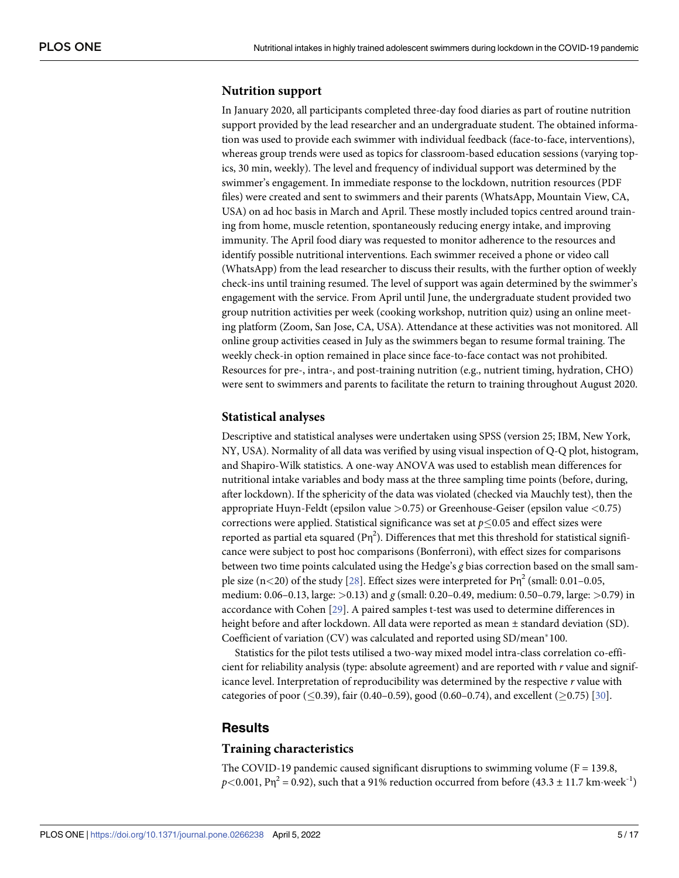#### <span id="page-4-0"></span>**Nutrition support**

In January 2020, all participants completed three-day food diaries as part of routine nutrition support provided by the lead researcher and an undergraduate student. The obtained information was used to provide each swimmer with individual feedback (face-to-face, interventions), whereas group trends were used as topics for classroom-based education sessions (varying topics, 30 min, weekly). The level and frequency of individual support was determined by the swimmer's engagement. In immediate response to the lockdown, nutrition resources (PDF files) were created and sent to swimmers and their parents (WhatsApp, Mountain View, CA, USA) on ad hoc basis in March and April. These mostly included topics centred around training from home, muscle retention, spontaneously reducing energy intake, and improving immunity. The April food diary was requested to monitor adherence to the resources and identify possible nutritional interventions. Each swimmer received a phone or video call (WhatsApp) from the lead researcher to discuss their results, with the further option of weekly check-ins until training resumed. The level of support was again determined by the swimmer's engagement with the service. From April until June, the undergraduate student provided two group nutrition activities per week (cooking workshop, nutrition quiz) using an online meeting platform (Zoom, San Jose, CA, USA). Attendance at these activities was not monitored. All online group activities ceased in July as the swimmers began to resume formal training. The weekly check-in option remained in place since face-to-face contact was not prohibited. Resources for pre-, intra-, and post-training nutrition (e.g., nutrient timing, hydration, CHO) were sent to swimmers and parents to facilitate the return to training throughout August 2020.

#### **Statistical analyses**

Descriptive and statistical analyses were undertaken using SPSS (version 25; IBM, New York, NY, USA). Normality of all data was verified by using visual inspection of Q-Q plot, histogram, and Shapiro-Wilk statistics. A one-way ANOVA was used to establish mean differences for nutritional intake variables and body mass at the three sampling time points (before, during, after lockdown). If the sphericity of the data was violated (checked via Mauchly test), then the appropriate Huyn-Feldt (epsilon value *>*0.75) or Greenhouse-Geiser (epsilon value *<*0.75) corrections were applied. Statistical significance was set at  $p \leq 0.05$  and effect sizes were reported as partial eta squared  $(P\eta^2)$ . Differences that met this threshold for statistical significance were subject to post hoc comparisons (Bonferroni), with effect sizes for comparisons between two time points calculated using the Hedge's *g* bias correction based on the small sample size  $(n<20)$  of the study [[28](#page-14-0)]. Effect sizes were interpreted for  $\text{P}\eta^2$  (small: 0.01–0.05, medium: 0.06–0.13, large: *>*0.13) and *g* (small: 0.20–0.49, medium: 0.50–0.79, large: *>*0.79) in accordance with Cohen [[29](#page-14-0)]. A paired samples t-test was used to determine differences in height before and after lockdown. All data were reported as mean  $\pm$  standard deviation (SD). Coefficient of variation (CV) was calculated and reported using SD/mean\*100.

Statistics for the pilot tests utilised a two-way mixed model intra-class correlation co-efficient for reliability analysis (type: absolute agreement) and are reported with *r* value and significance level. Interpretation of reproducibility was determined by the respective *r* value with categories of poor ( $\leq$ 0.39), fair (0.40–0.59), good (0.60–0.74), and excellent ( $\geq$ 0.75) [[30](#page-14-0)].

#### **Results**

#### **Training characteristics**

The COVID-19 pandemic caused significant disruptions to swimming volume ( $F = 139.8$ ,  $p$ <0.001, P<sub>N</sub><sup>2</sup> = 0.92), such that a 91% reduction occurred from before (43.3  $\pm$  11.7 km·week<sup>-1</sup>)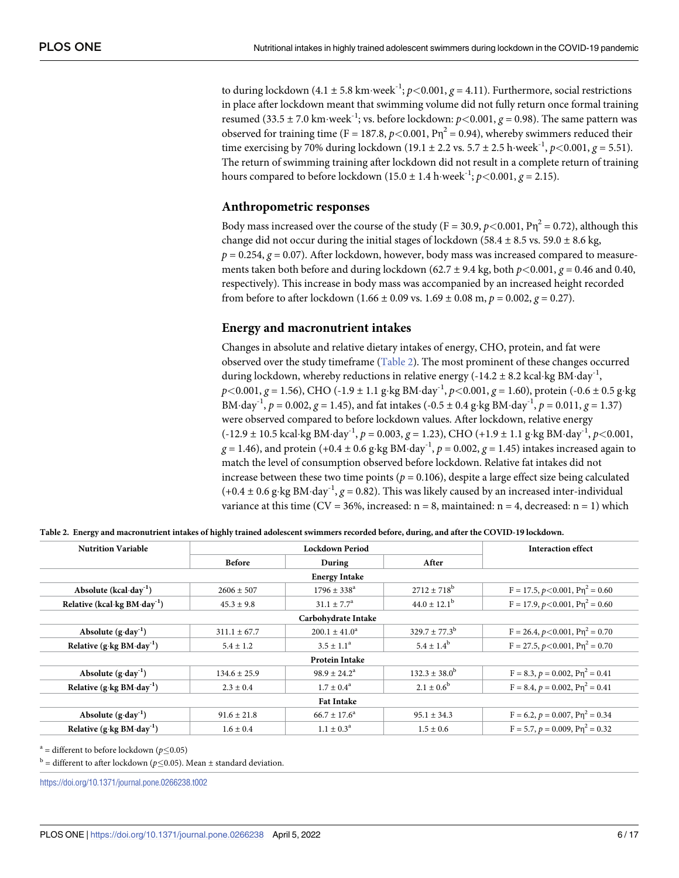to during lockdown  $(4.1 \pm 5.8 \text{ km} \cdot \text{week}^{-1}; p < 0.001, g = 4.11)$ . Furthermore, social restrictions in place after lockdown meant that swimming volume did not fully return once formal training resumed (33.5  $\pm$  7.0 km·week<sup>-1</sup>; vs. before lockdown:  $p$ <0.001,  $q$  = 0.98). The same pattern was observed for training time (F = 187.8,  $p$ <0.001, P $\eta^2$  = 0.94), whereby swimmers reduced their time exercising by 70% during lockdown (19.1  $\pm$  2.2 vs. 5.7  $\pm$  2.5 h week<sup>-1</sup>, *p*<0.001, *g* = 5.51). The return of swimming training after lockdown did not result in a complete return of training hours compared to before lockdown (15.0  $\pm$  1.4 h·week<sup>-1</sup>; *p*<0.001, *g* = 2.15).

#### **Anthropometric responses**

Body mass increased over the course of the study (F = 30.9,  $p$  < 0.001, P $\eta^2$  = 0.72), although this change did not occur during the initial stages of lockdown (58.4  $\pm$  8.5 vs. 59.0  $\pm$  8.6 kg,  $p = 0.254$ ,  $g = 0.07$ ). After lockdown, however, body mass was increased compared to measurements taken both before and during lockdown (62.7  $\pm$  9.4 kg, both  $p$  <0.001,  $q$  = 0.46 and 0.40, respectively). This increase in body mass was accompanied by an increased height recorded from before to after lockdown  $(1.66 \pm 0.09 \text{ vs. } 1.69 \pm 0.08 \text{ m}, p = 0.002, g = 0.27)$ .

#### **Energy and macronutrient intakes**

Changes in absolute and relative dietary intakes of energy, CHO, protein, and fat were observed over the study timeframe (Table 2). The most prominent of these changes occurred during lockdown, whereby reductions in relative energy (-14.2  $\pm$  8.2 kcal·kg BM·day<sup>-1</sup>,  $p$  < 0.001,  $g$  = 1.56), CHO (-1.9  $\pm$  1.1 g·kg BM·day<sup>-1</sup>,  $p$  < 0.001,  $g$  = 1.60), protein (-0.6  $\pm$  0.5 g·kg BM·day<sup>-1</sup>,  $p = 0.002$ ,  $q = 1.45$ ), and fat intakes (-0.5  $\pm$  0.4 g·kg BM·day<sup>-1</sup>,  $p = 0.011$ ,  $q = 1.37$ ) were observed compared to before lockdown values. After lockdown, relative energy (-12.9 ± 10.5 kcal�kg BM�day-1, *p* = 0.003, *g* = 1.23), CHO (+1.9 ± 1.1 g�kg BM�day-1, *p<*0.001,  $g = 1.46$ ), and protein (+0.4 ± 0.6 g·kg BM·day<sup>-1</sup>,  $p = 0.002$ ,  $g = 1.45$ ) intakes increased again to match the level of consumption observed before lockdown. Relative fat intakes did not increase between these two time points ( $p = 0.106$ ), despite a large effect size being calculated  $(+0.4 \pm 0.6 \text{ g} \cdot \text{kg BM} \cdot \text{day}^{-1}, g = 0.82)$ . This was likely caused by an increased inter-individual variance at this time (CV = 36%, increased:  $n = 8$ , maintained:  $n = 4$ , decreased:  $n = 1$ ) which

| <b>Nutrition Variable</b>                 |                      | <b>Interaction effect</b> |                          |                                       |  |  |  |
|-------------------------------------------|----------------------|---------------------------|--------------------------|---------------------------------------|--|--|--|
|                                           | <b>Before</b>        | During                    | After                    |                                       |  |  |  |
|                                           | <b>Energy Intake</b> |                           |                          |                                       |  |  |  |
| Absolute $(kcal \cdot day^{-1})$          | $2606 \pm 507$       | $1796 \pm 338^{\circ}$    | $2712 \pm 718^{\rm b}$   | $F = 17.5, p < 0.001, P\eta^2 = 0.60$ |  |  |  |
| Relative (kcal·kg $BM \cdot day^{-1}$ )   | $45.3 \pm 9.8$       | $31.1 \pm 7.7^{\circ}$    | $44.0 \pm 12.1^{\rm b}$  | $F = 17.9, p < 0.001, P\eta^2 = 0.60$ |  |  |  |
| Carbohydrate Intake                       |                      |                           |                          |                                       |  |  |  |
| Absolute $(g \cdot day^{-1})$             | $311.1 \pm 67.7$     | $200.1 \pm 41.0^a$        | $329.7 \pm 77.3^{\rm b}$ | $F = 26.4, p < 0.001, P\eta^2 = 0.70$ |  |  |  |
| Relative $(g \cdot kg BM \cdot day^{-1})$ | $5.4 \pm 1.2$        | $3.5 \pm 1.1^a$           | $5.4 \pm 1.4^b$          | $F = 27.5, p < 0.001, P\eta^2 = 0.70$ |  |  |  |
|                                           |                      | <b>Protein Intake</b>     |                          |                                       |  |  |  |
| Absolute $(g \cdot day^{-1})$             | $134.6 \pm 25.9$     | $98.9 + 24.2^a$           | $132.3 \pm 38.0^{\rm b}$ | $F = 8.3, p = 0.002, P\eta^2 = 0.41$  |  |  |  |
| Relative $(g \cdot kg BM \cdot day^{-1})$ | $2.3 \pm 0.4$        | $1.7 \pm 0.4^{\rm a}$     | $2.1 \pm 0.6^{\rm b}$    | $F = 8.4, p = 0.002, P\eta^2 = 0.41$  |  |  |  |
| <b>Fat Intake</b>                         |                      |                           |                          |                                       |  |  |  |
| Absolute $(g \cdot day^{-1})$             | $91.6 \pm 21.8$      | $66.7 \pm 17.6^{\circ}$   | $95.1 \pm 34.3$          | $F = 6.2, p = 0.007, P\eta^2 = 0.34$  |  |  |  |
| Relative $(g \cdot kg BM \cdot day^{-1})$ | $1.6 \pm 0.4$        | $1.1 \pm 0.3^{\rm a}$     | $1.5 \pm 0.6$            | $F = 5.7, p = 0.009, P\eta^2 = 0.32$  |  |  |  |

Table 2. Energy and macronutrient intakes of highly trained adolescent swimmers recorded before, during, and after the COVID-19 lockdown.

 $a =$  different to before lockdown ( $p \le 0.05$ )

 $b =$  different to after lockdown ( $p \le 0.05$ ). Mean  $\pm$  standard deviation.

<https://doi.org/10.1371/journal.pone.0266238.t002>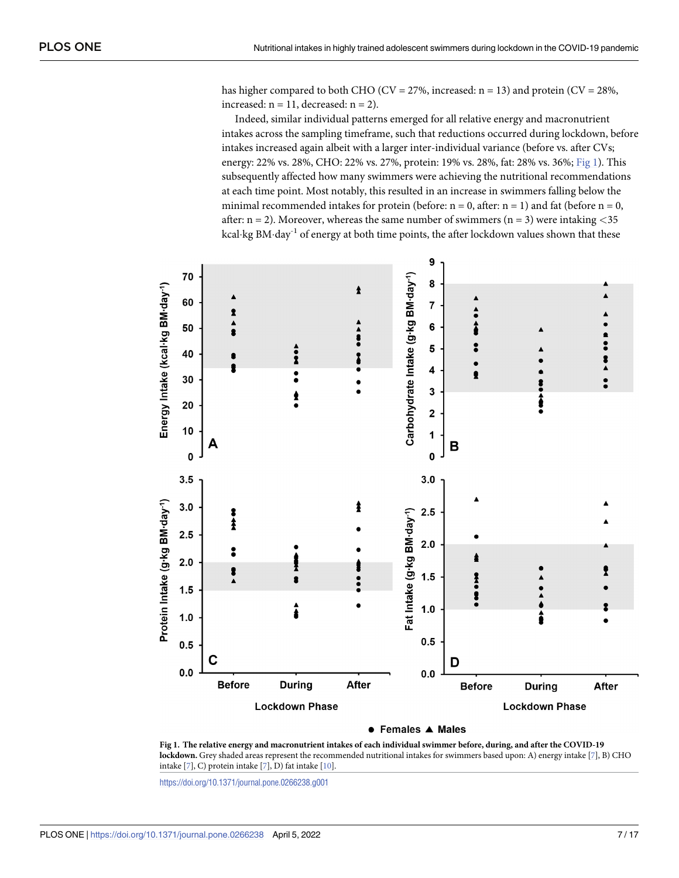has higher compared to both CHO (CV =  $27\%$ , increased: n = 13) and protein (CV =  $28\%$ , increased:  $n = 11$ , decreased:  $n = 2$ ).

Indeed, similar individual patterns emerged for all relative energy and macronutrient intakes across the sampling timeframe, such that reductions occurred during lockdown, before intakes increased again albeit with a larger inter-individual variance (before vs. after CVs; energy: 22% vs. 28%, CHO: 22% vs. 27%, protein: 19% vs. 28%, fat: 28% vs. 36%; Fig 1). This subsequently affected how many swimmers were achieving the nutritional recommendations at each time point. Most notably, this resulted in an increase in swimmers falling below the minimal recommended intakes for protein (before:  $n = 0$ , after:  $n = 1$ ) and fat (before  $n = 0$ , after: n = 2). Moreover, whereas the same number of swimmers (n = 3) were intaking *<*35 kcal·kg BM·day<sup>-1</sup> of energy at both time points, the after lockdown values shown that these



● Females ▲ Males

Fig 1. The relative energy and macronutrient intakes of each individual swimmer before, during, and after the COVID-19 **lockdown.** Grey shaded areas represent the recommended nutritional intakes for swimmers based upon: A) energy intake [[7\]](#page-13-0), B) CHO intake [\[7\]](#page-13-0), C) protein intake [\[7\]](#page-13-0), D) fat intake [\[10\]](#page-13-0).

<https://doi.org/10.1371/journal.pone.0266238.g001>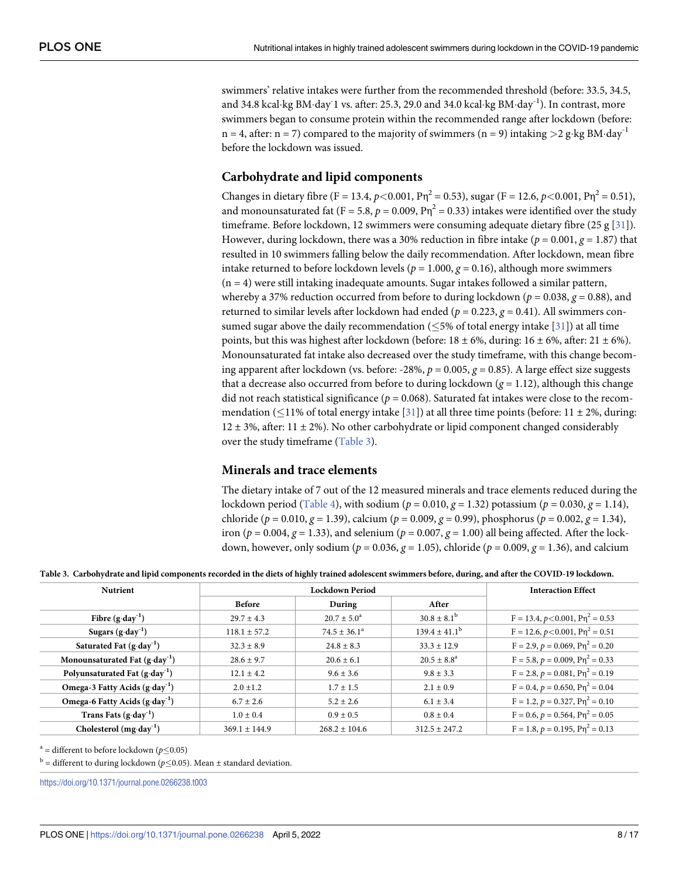<span id="page-7-0"></span>swimmers' relative intakes were further from the recommended threshold (before: 33.5, 34.5, and 34.8 kcal·kg BM·day<sup>-</sup>1 vs. after: 25.3, 29.0 and 34.0 kcal·kg BM·day<sup>-1</sup>). In contrast, more swimmers began to consume protein within the recommended range after lockdown (before: n = 4, after: n = 7) compared to the majority of swimmers (n = 9) intaking  $>$ 2 g·kg BM·day<sup>-1</sup> before the lockdown was issued.

#### **Carbohydrate and lipid components**

Changes in dietary fibre (F = 13.4,  $p$  < 0.001, P $\eta^2$  = 0.53), sugar (F = 12.6,  $p$  < 0.001, P $\eta^2$  = 0.51), and monounsaturated fat (F = 5.8,  $p = 0.009$ ,  $P\eta^2 = 0.33$ ) intakes were identified over the study timeframe. Before lockdown, 12 swimmers were consuming adequate dietary fibre (25 g [\[31\]](#page-14-0)). However, during lockdown, there was a 30% reduction in fibre intake ( $p = 0.001$ ,  $q = 1.87$ ) that resulted in 10 swimmers falling below the daily recommendation. After lockdown, mean fibre intake returned to before lockdown levels ( $p = 1.000$ ,  $g = 0.16$ ), although more swimmers  $(n = 4)$  were still intaking inadequate amounts. Sugar intakes followed a similar pattern, whereby a 37% reduction occurred from before to during lockdown ( $p = 0.038$ ,  $q = 0.88$ ), and returned to similar levels after lockdown had ended ( $p = 0.223$ ,  $q = 0.41$ ). All swimmers consumed sugar above the daily recommendation ( $\leq$ 5% of total energy intake [[31](#page-14-0)]) at all time points, but this was highest after lockdown (before:  $18 \pm 6$ %, during:  $16 \pm 6$ %, after:  $21 \pm 6$ %). Monounsaturated fat intake also decreased over the study timeframe, with this change becoming apparent after lockdown (vs. before: -28%,  $p = 0.005$ ,  $g = 0.85$ ). A large effect size suggests that a decrease also occurred from before to during lockdown ( $g = 1.12$ ), although this change did not reach statistical significance ( $p = 0.068$ ). Saturated fat intakes were close to the recommendation ( $\leq$ 11% of total energy intake [[31](#page-14-0)]) at all three time points (before: 11 ± 2%, during: 12  $\pm$  3%, after: 11  $\pm$  2%). No other carbohydrate or lipid component changed considerably over the study timeframe (Table 3).

#### **Minerals and trace elements**

The dietary intake of 7 out of the 12 measured minerals and trace elements reduced during the lockdown period [\(Table](#page-8-0) 4), with sodium ( $p = 0.010$ ,  $q = 1.32$ ) potassium ( $p = 0.030$ ,  $q = 1.14$ ), chloride ( $p = 0.010$ ,  $g = 1.39$ ), calcium ( $p = 0.009$ ,  $g = 0.99$ ), phosphorus ( $p = 0.002$ ,  $g = 1.34$ ), iron ( $p = 0.004$ ,  $g = 1.33$ ), and selenium ( $p = 0.007$ ,  $g = 1.00$ ) all being affected. After the lockdown, however, only sodium ( $p = 0.036$ ,  $g = 1.05$ ), chloride ( $p = 0.009$ ,  $g = 1.36$ ), and calcium

Table 3. Carbohydrate and lipid components recorded in the diets of highly trained adolescent swimmers before, during, and after the COVID-19 lockdown.

| <b>Nutrient</b>                                 |                   | <b>Interaction Effect</b> |                        |                                            |
|-------------------------------------------------|-------------------|---------------------------|------------------------|--------------------------------------------|
|                                                 | <b>Before</b>     | During                    | After                  |                                            |
| Fibre $(g \cdot \text{day}^{-1})$               | $29.7 + 4.3$      | $20.7 \pm 5.0^{\circ}$    | $30.8 \pm 8.1^{\rm b}$ | $F = 13.4, p < 0.001, P\eta^2 = 0.53$      |
| Sugars $(g \cdot day^{-1})$                     | $118.1 + 57.2$    | $74.5 \pm 36.1^a$         | $139.4 \pm 41.1^b$     | $F = 12.6, p < 0.001, P\eta^2 = 0.51$      |
| Saturated Fat $(g \cdot day^{-1})$              | $32.3 \pm 8.9$    | $24.8 \pm 8.3$            | $33.3 \pm 12.9$        | $F = 2.9, p = 0.069, P\eta^{2} = 0.20$     |
| Monounsaturated Fat $(g \cdot day^{-1})$        | $28.6 + 9.7$      | $20.6 \pm 6.1$            | $20.5 \pm 8.8^a$       | $F = 5.8, p = 0.009, P\eta^2 = 0.33$       |
| Polyunsaturated Fat $(g \cdot day^{-1})$        | $12.1 \pm 4.2$    | $9.6 \pm 3.6$             | $9.8 \pm 3.3$          | $F = 2.8, p = 0.081, P\eta^2 = 0.19$       |
| Omega-3 Fatty Acids (g·day <sup>-1</sup> )      | $2.0 \pm 1.2$     | $1.7 \pm 1.5$             | $2.1 \pm 0.9$          | $F = 0.4$ , $p = 0.650$ , $P\eta^2 = 0.04$ |
| Omega-6 Fatty Acids $(g \cdot \text{day}^{-1})$ | $6.7 \pm 2.6$     | $5.2 \pm 2.6$             | $6.1 \pm 3.4$          | $F = 1.2, p = 0.327, P\eta^2 = 0.10$       |
| Trans Fats $(g \cdot \text{day}^{-1})$          | $1.0 \pm 0.4$     | $0.9 \pm 0.5$             | $0.8 \pm 0.4$          | $F = 0.6$ , $p = 0.564$ , $P\eta^2 = 0.05$ |
| Cholesterol $(mg \cdot day^{-1})$               | $369.1 \pm 144.9$ | $268.2 \pm 104.6$         | $312.5 \pm 247.2$      | $F = 1.8, p = 0.195, P\eta^2 = 0.13$       |

 $a =$  different to before lockdown ( $p \le 0.05$ )

 $b =$  different to during lockdown ( $p \le 0.05$ ). Mean  $\pm$  standard deviation.

<https://doi.org/10.1371/journal.pone.0266238.t003>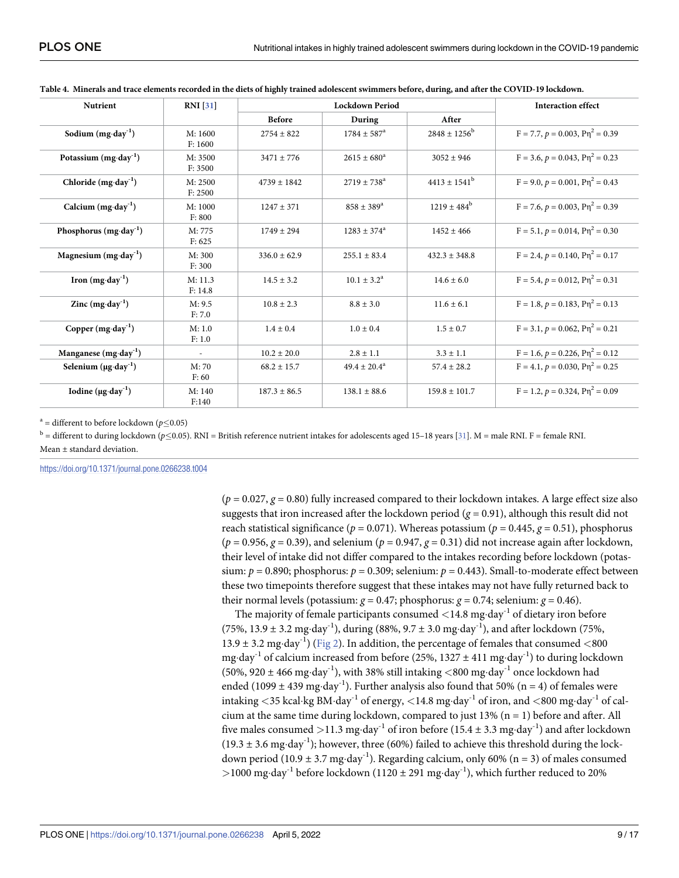| <b>Nutrient</b>                      | <b>RNI</b> [31]          | <b>Lockdown Period</b> |                           |                              | <b>Interaction effect</b>              |
|--------------------------------------|--------------------------|------------------------|---------------------------|------------------------------|----------------------------------------|
|                                      |                          | <b>Before</b>          | During                    | After                        |                                        |
| Sodium $(mg \cdot day^{-1})$         | M: 1600<br>F: 1600       | $2754 + 822$           | $1784 \pm 587^{\circ}$    | $2848 \pm 1256^{\rm b}$      | $F = 7.7, p = 0.003, P\eta^2 = 0.39$   |
| Potassium $(mg \cdot day^{-1})$      | M: 3500<br>F: 3500       | $3471 + 776$           | $2615 \pm 680^{\circ}$    | $3052 + 946$                 | $F = 3.6, p = 0.043, P\eta^2 = 0.23$   |
| Chloride $(mg \cdot day^{-1})$       | M: 2500<br>F: 2500       | $4739 + 1842$          | $2719 \pm 738^{\circ}$    | $4413 \pm 1541$ <sup>b</sup> | $F = 9.0, p = 0.001, P\eta^2 = 0.43$   |
| Calcium $(mg \cdot day^{-1})$        | M: 1000<br>F: 800        | $1247 + 371$           | $858 + 389^{\circ}$       | $1219 \pm 484^{\rm b}$       | $F = 7.6, p = 0.003, P\eta^2 = 0.39$   |
| Phosphorus $(mg \cdot day^{-1})$     | M: 775<br>F: 625         | $1749 + 294$           | $1283 \pm 374^{\circ}$    | $1452 + 466$                 | $F = 5.1, p = 0.014, P\eta^2 = 0.30$   |
| Magnesium $(mg \cdot day^{-1})$      | M: 300<br>F: 300         | $336.0 \pm 62.9$       | $255.1 + 83.4$            | $432.3 + 348.8$              | $F = 2.4, p = 0.140, P\eta^{2} = 0.17$ |
| Iron $(mg \cdot day^{-1})$           | M: 11.3<br>F: 14.8       | $14.5 \pm 3.2$         | $10.1 \pm 3.2^{\text{a}}$ | $14.6 \pm 6.0$               | $F = 5.4, p = 0.012, P\eta^2 = 0.31$   |
| Zinc $(mg \cdot day^{-1})$           | M: 9.5<br>F: 7.0         | $10.8 \pm 2.3$         | $8.8 \pm 3.0$             | $11.6 \pm 6.1$               | $F = 1.8, p = 0.183, P\eta^2 = 0.13$   |
| Copper $(mg \cdot day^{-1})$         | M: 1.0<br>F: 1.0         | $1.4 \pm 0.4$          | $1.0 + 0.4$               | $1.5 \pm 0.7$                | $F = 3.1, p = 0.062, P\eta^2 = 0.21$   |
| Manganese $(mg \cdot day^{-1})$      | $\overline{\phantom{a}}$ | $10.2 \pm 20.0$        | $2.8 \pm 1.1$             | $3.3 \pm 1.1$                | $F = 1.6, p = 0.226, P\eta^2 = 0.12$   |
| Selenium $(\mu g \cdot day^{-1})$    | M:70<br>F:60             | $68.2 \pm 15.7$        | $49.4 \pm 20.4^{\circ}$   | $57.4 \pm 28.2$              | $F = 4.1, p = 0.030, P\eta^2 = 0.25$   |
| Iodine ( $\mu$ g·day <sup>-1</sup> ) | M: 140<br>F:140          | $187.3 \pm 86.5$       | $138.1 \pm 88.6$          | $159.8 \pm 101.7$            | $F = 1.2, p = 0.324, P\eta^2 = 0.09$   |

<span id="page-8-0"></span>

| Table 4. Minerals and trace elements recorded in the diets of highly trained adolescent swimmers before, during, and after the COVID-19 lockdown. |  |  |
|---------------------------------------------------------------------------------------------------------------------------------------------------|--|--|
|                                                                                                                                                   |  |  |

<sup>a</sup> = different to before lockdown ( $p$ <0.05)

<sup>b</sup> = different to during lockdown (*p* < 0.05). RNI = British reference nutrient intakes for adolescents aged 15–18 years [\[31\]](#page-14-0). M = male RNI. F = female RNI. Mean ± standard deviation.

<https://doi.org/10.1371/journal.pone.0266238.t004>

 $(p = 0.027, g = 0.80)$  fully increased compared to their lockdown intakes. A large effect size also suggests that iron increased after the lockdown period ( $g = 0.91$ ), although this result did not reach statistical significance ( $p = 0.071$ ). Whereas potassium ( $p = 0.445$ ,  $g = 0.51$ ), phosphorus  $(p = 0.956, g = 0.39)$ , and selenium  $(p = 0.947, g = 0.31)$  did not increase again after lockdown, their level of intake did not differ compared to the intakes recording before lockdown (potassium:  $p = 0.890$ ; phosphorus:  $p = 0.309$ ; selenium:  $p = 0.443$ ). Small-to-moderate effect between these two timepoints therefore suggest that these intakes may not have fully returned back to their normal levels (potassium:  $g = 0.47$ ; phosphorus:  $g = 0.74$ ; selenium:  $g = 0.46$ ).

The majority of female participants consumed  $\langle 14.8 \text{ mg day}^{-1}$  of dietary iron before (75%, 13.9  $\pm$  3.2 mg·day<sup>-1</sup>), during (88%, 9.7  $\pm$  3.0 mg·day<sup>-1</sup>), and after lockdown (75%, 13.9  $\pm$  3.2 mg·day<sup>-1</sup>) ([Fig](#page-9-0) 2). In addition, the percentage of females that consumed  $\langle 800$ mg·day<sup>-1</sup> of calcium increased from before (25%,  $1327 \pm 411$  mg·day<sup>-1</sup>) to during lockdown (50%, 920  $\pm$  466 mg·day<sup>-1</sup>), with 38% still intaking  $\lt 800$  mg·day<sup>-1</sup> once lockdown had ended (1099  $\pm$  439 mg·day<sup>-1</sup>). Further analysis also found that 50% (n = 4) of females were intaking <35 kcal·kg BM·day<sup>-1</sup> of energy, <14.8 mg·day<sup>-1</sup> of iron, and <800 mg·day<sup>-1</sup> of calcium at the same time during lockdown, compared to just  $13\%$  (n = 1) before and after. All five males consumed  $>$ 11.3 mg·day<sup>-1</sup> of iron before (15.4  $\pm$  3.3 mg·day<sup>-1</sup>) and after lockdown  $(19.3 \pm 3.6 \text{ mg day}^{-1})$ ; however, three (60%) failed to achieve this threshold during the lockdown period (10.9  $\pm$  3.7 mg·day<sup>-1</sup>). Regarding calcium, only 60% (n = 3) of males consumed  $>$ 1000 mg·day<sup>-1</sup> before lockdown (1120  $\pm$  291 mg·day<sup>-1</sup>), which further reduced to 20%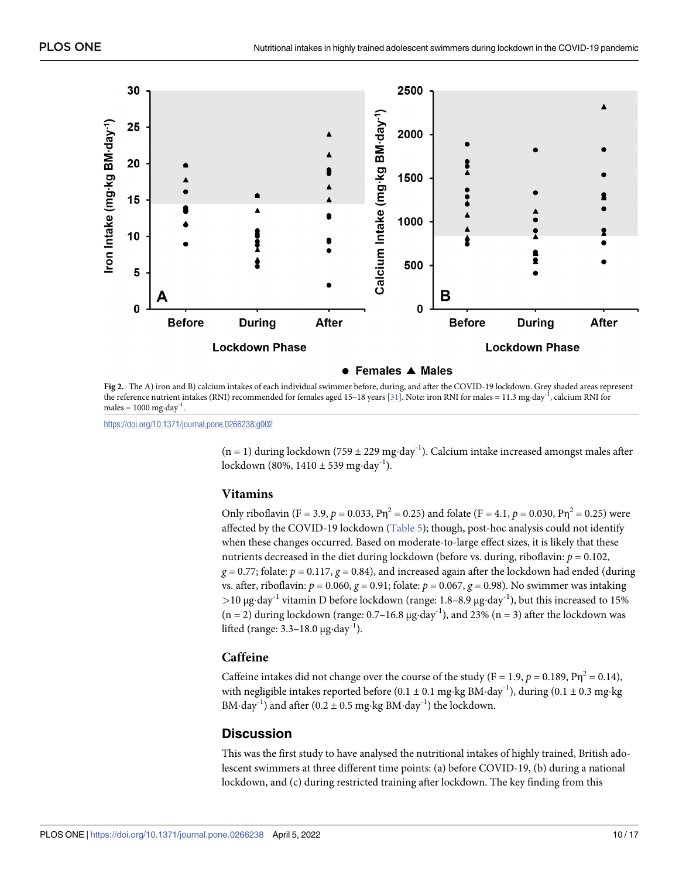<span id="page-9-0"></span>

**[Fig](#page-8-0) 2.** The A) iron and B) calcium intakes of each individual swimmer before, during, and after the COVID-19 lockdown. Grey shaded areas represent the reference nutrient intakes (RNI) recommended for females aged 15-18 years [\[31\]](#page-14-0). Note: iron RNI for males = 11.3 mg·day<sup>-1</sup>, calcium RNI for males =  $1000$  mg·day<sup>-1</sup>.

<https://doi.org/10.1371/journal.pone.0266238.g002>

 $(n = 1)$  during lockdown (759 ± 229 mg·day<sup>-1</sup>). Calcium intake increased amongst males after lockdown (80%,  $1410 \pm 539$  mg·day<sup>-1</sup>).

#### **Vitamins**

Only riboflavin (F = 3.9,  $p = 0.033$ ,  $Pn^2 = 0.25$ ) and folate (F = 4.1,  $p = 0.030$ ,  $Pn^2 = 0.25$ ) were affected by the COVID-19 lockdown ([Table](#page-10-0) 5); though, post-hoc analysis could not identify when these changes occurred. Based on moderate-to-large effect sizes, it is likely that these nutrients decreased in the diet during lockdown (before vs. during, riboflavin:  $p = 0.102$ ,  $g = 0.77$ ; folate:  $p = 0.117$ ,  $g = 0.84$ ), and increased again after the lockdown had ended (during vs. after, riboflavin:  $p = 0.060$ ,  $g = 0.91$ ; folate:  $p = 0.067$ ,  $g = 0.98$ ). No swimmer was intaking >10 μg·day<sup>-1</sup> vitamin D before lockdown (range: 1.8–8.9 μg·day<sup>-1</sup>), but this increased to 15%  $(n = 2)$  during lockdown (range: 0.7–16.8  $\mu$ g·day<sup>-1</sup>), and 23% (n = 3) after the lockdown was lifted (range:  $3.3-18.0 \mu$ g·day<sup>-1</sup>).

#### **Caffeine**

Caffeine intakes did not change over the course of the study (F = 1.9,  $p = 0.189$ ,  $P\eta^2 = 0.14$ ), with negligible intakes reported before (0.1  $\pm$  0.1 mg·kg BM·day<sup>-1</sup>), during (0.1  $\pm$  0.3 mg·kg BM $\cdot$ day<sup>-1</sup>) and after (0.2  $\pm$  0.5 mg $\cdot$ kg BM $\cdot$ day<sup>-1</sup>) the lockdown.

#### **Discussion**

This was the first study to have analysed the nutritional intakes of highly trained, British adolescent swimmers at three different time points: (a) before COVID-19, (b) during a national lockdown, and (c) during restricted training after lockdown. The key finding from this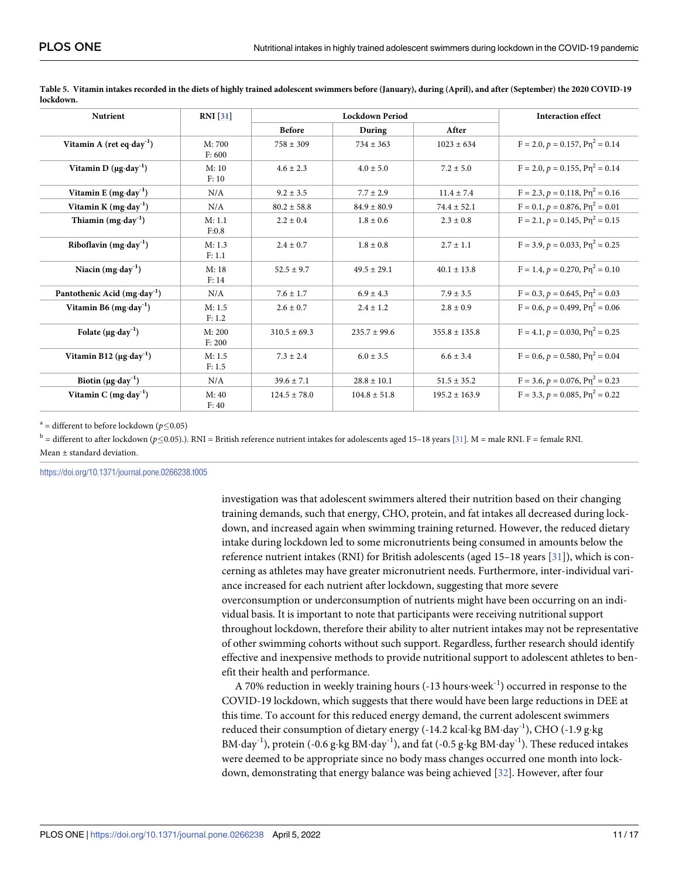| <b>Nutrient</b>                               | <b>RNI</b> [31]  | <b>Lockdown Period</b> |                  |                   | <b>Interaction effect</b>                  |
|-----------------------------------------------|------------------|------------------------|------------------|-------------------|--------------------------------------------|
|                                               |                  | <b>Before</b>          | During           | After             |                                            |
| Vitamin A (ret eq $\cdot$ day <sup>-1</sup> ) | M:700<br>F: 600  | $758 \pm 309$          | $734 + 363$      | $1023 + 634$      | $F = 2.0, p = 0.157, P\eta^2 = 0.14$       |
| Vitamin D $(\mu g \cdot day^{-1})$            | M:10<br>F: 10    | $4.6 \pm 2.3$          | $4.0 \pm 5.0$    | $7.2 \pm 5.0$     | $F = 2.0, p = 0.155, P\eta^2 = 0.14$       |
| Vitamin E $(mg \cdot day^{-1})$               | N/A              | $9.2 \pm 3.5$          | $7.7 \pm 2.9$    | $11.4 \pm 7.4$    | $F = 2.3, p = 0.118, P\eta^2 = 0.16$       |
| Vitamin K $(mg \cdot day^{-1})$               | N/A              | $80.2 \pm 58.8$        | $84.9 \pm 80.9$  | $74.4 \pm 52.1$   | $F = 0.1$ , $p = 0.876$ , $P\eta^2 = 0.01$ |
| Thiamin $(mg \cdot day^{-1})$                 | M: 1.1<br>F:0.8  | $2.2 \pm 0.4$          | $1.8 \pm 0.6$    | $2.3 \pm 0.8$     | $F = 2.1, p = 0.145, P\eta^{2} = 0.15$     |
| Riboflavin $(mg \cdot day^{-1})$              | M: 1.3<br>F: 1.1 | $2.4 \pm 0.7$          | $1.8 \pm 0.8$    | $2.7 \pm 1.1$     | $F = 3.9, p = 0.033, P\eta^2 = 0.25$       |
| Niacin $(mg \cdot day^{-1})$                  | M:18<br>F: 14    | $52.5 \pm 9.7$         | $49.5 \pm 29.1$  | $40.1 \pm 13.8$   | $F = 1.4, p = 0.270, P\eta^2 = 0.10$       |
| Pantothenic Acid (mg·day <sup>-1</sup> )      | N/A              | $7.6 + 1.7$            | $6.9 + 4.3$      | $7.9 + 3.5$       | $F = 0.3$ , $p = 0.645$ , $P\eta^2 = 0.03$ |
| Vitamin B6 $(mg \cdot day^{-1})$              | M: 1.5<br>F: 1.2 | $2.6 \pm 0.7$          | $2.4 + 1.2$      | $2.8 \pm 0.9$     | $F = 0.6$ , $p = 0.499$ , $P\eta^2 = 0.06$ |
| Folate $(\mu g \cdot \text{day}^{-1})$        | M: 200<br>F: 200 | $310.5 + 69.3$         | $235.7 \pm 99.6$ | $355.8 \pm 135.8$ | $F = 4.1, p = 0.030, P\eta^2 = 0.25$       |
| Vitamin B12 $(\mu g \cdot d a y^{-1})$        | M: 1.5<br>F: 1.5 | $7.3 + 2.4$            | $6.0 + 3.5$      | $6.6 \pm 3.4$     | $F = 0.6, p = 0.580, P\eta^2 = 0.04$       |
| Biotin $(\mu g \cdot day^{-1})$               | N/A              | $39.6 \pm 7.1$         | $28.8 \pm 10.1$  | $51.5 \pm 35.2$   | $F = 3.6, p = 0.076, P\eta^2 = 0.23$       |
| Vitamin C $(mg \cdot day^{-1})$               | M:40<br>F: 40    | $124.5 \pm 78.0$       | $104.8 \pm 51.8$ | $195.2 \pm 163.9$ | $F = 3.3, p = 0.085, P\eta^2 = 0.22$       |

<span id="page-10-0"></span>[Table](#page-9-0) 5. Vitamin intakes recorded in the diets of highly trained adolescent swimmers before (January), during (April), and after (September) the 2020 COVID-19 **lockdown.**

<sup>a</sup> = different to before lockdown ( $p \le 0.05$ )

<sup>b</sup> = different to after lockdown ( $p \le 0.05$ ).). RNI = British reference nutrient intakes for adolescents aged 15-18 years [[31](#page-14-0)]. M = male RNI. F = female RNI. Mean ± standard deviation.

<https://doi.org/10.1371/journal.pone.0266238.t005>

investigation was that adolescent swimmers altered their nutrition based on their changing training demands, such that energy, CHO, protein, and fat intakes all decreased during lockdown, and increased again when swimming training returned. However, the reduced dietary intake during lockdown led to some micronutrients being consumed in amounts below the reference nutrient intakes (RNI) for British adolescents (aged 15–18 years [[31](#page-14-0)]), which is concerning as athletes may have greater micronutrient needs. Furthermore, inter-individual variance increased for each nutrient after lockdown, suggesting that more severe overconsumption or underconsumption of nutrients might have been occurring on an individual basis. It is important to note that participants were receiving nutritional support throughout lockdown, therefore their ability to alter nutrient intakes may not be representative of other swimming cohorts without such support. Regardless, further research should identify effective and inexpensive methods to provide nutritional support to adolescent athletes to benefit their health and performance.

A 70% reduction in weekly training hours  $(-13 \text{ hours} \cdot \text{week}^{-1})$  occurred in response to the COVID-19 lockdown, which suggests that there would have been large reductions in DEE at this time. To account for this reduced energy demand, the current adolescent swimmers reduced their consumption of dietary energy (-14.2 kcal·kg BM·day<sup>-1</sup>), CHO (-1.9 g·kg BM·day<sup>-1</sup>), protein (-0.6 g·kg BM·day<sup>-1</sup>), and fat (-0.5 g·kg BM·day<sup>-1</sup>). These reduced intakes were deemed to be appropriate since no body mass changes occurred one month into lockdown, demonstrating that energy balance was being achieved [[32](#page-15-0)]. However, after four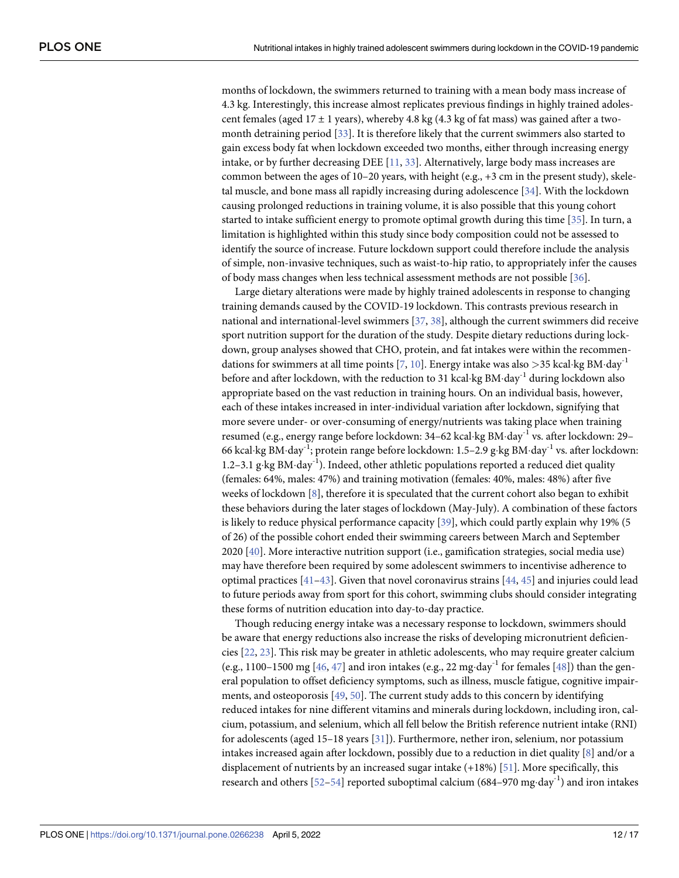<span id="page-11-0"></span>months of lockdown, the swimmers returned to training with a mean body mass increase of 4.3 kg. Interestingly, this increase almost replicates previous findings in highly trained adolescent females (aged  $17 \pm 1$  years), whereby 4.8 kg (4.3 kg of fat mass) was gained after a twomonth detraining period [[33](#page-15-0)]. It is therefore likely that the current swimmers also started to gain excess body fat when lockdown exceeded two months, either through increasing energy intake, or by further decreasing DEE [\[11,](#page-14-0) [33\]](#page-15-0). Alternatively, large body mass increases are common between the ages of 10–20 years, with height (e.g., +3 cm in the present study), skeletal muscle, and bone mass all rapidly increasing during adolescence [\[34\]](#page-15-0). With the lockdown causing prolonged reductions in training volume, it is also possible that this young cohort started to intake sufficient energy to promote optimal growth during this time [\[35\]](#page-15-0). In turn, a limitation is highlighted within this study since body composition could not be assessed to identify the source of increase. Future lockdown support could therefore include the analysis of simple, non-invasive techniques, such as waist-to-hip ratio, to appropriately infer the causes of body mass changes when less technical assessment methods are not possible [\[36\]](#page-15-0).

Large dietary alterations were made by highly trained adolescents in response to changing training demands caused by the COVID-19 lockdown. This contrasts previous research in national and international-level swimmers [\[37,](#page-15-0) [38\]](#page-15-0), although the current swimmers did receive sport nutrition support for the duration of the study. Despite dietary reductions during lockdown, group analyses showed that CHO, protein, and fat intakes were within the recommen-dations for swimmers at all time points [[7](#page-13-0), [10](#page-13-0)]. Energy intake was also  $>$ 35 kcal·kg BM·day<sup>-1</sup> before and after lockdown, with the reduction to 31 kcal·kg BM·day<sup>-1</sup> during lockdown also appropriate based on the vast reduction in training hours. On an individual basis, however, each of these intakes increased in inter-individual variation after lockdown, signifying that more severe under- or over-consuming of energy/nutrients was taking place when training resumed (e.g., energy range before lockdown:  $34-62$  kcal·kg BM·day<sup>-1</sup> vs. after lockdown:  $29-$ 66 kcal·kg BM·day<sup>-1</sup>; protein range before lockdown: 1.5–2.9 g·kg BM·day<sup>-1</sup> vs. after lockdown: 1.2–3.1 g·kg BM·day<sup>-1</sup>). Indeed, other athletic populations reported a reduced diet quality (females: 64%, males: 47%) and training motivation (females: 40%, males: 48%) after five weeks of lockdown [\[8\]](#page-13-0), therefore it is speculated that the current cohort also began to exhibit these behaviors during the later stages of lockdown (May-July). A combination of these factors is likely to reduce physical performance capacity [[39](#page-15-0)], which could partly explain why 19% (5 of 26) of the possible cohort ended their swimming careers between March and September 2020 [[40](#page-15-0)]. More interactive nutrition support (i.e., gamification strategies, social media use) may have therefore been required by some adolescent swimmers to incentivise adherence to optimal practices [[41](#page-15-0)–[43](#page-15-0)]. Given that novel coronavirus strains [\[44,](#page-15-0) [45](#page-15-0)] and injuries could lead to future periods away from sport for this cohort, swimming clubs should consider integrating these forms of nutrition education into day-to-day practice.

Though reducing energy intake was a necessary response to lockdown, swimmers should be aware that energy reductions also increase the risks of developing micronutrient deficiencies [\[22,](#page-14-0) [23\]](#page-14-0). This risk may be greater in athletic adolescents, who may require greater calcium (e.g., 1100–1500 mg [\[46,](#page-15-0) [47\]](#page-15-0) and iron intakes (e.g., 22 mg·day<sup>-1</sup> for females [[48](#page-15-0)]) than the general population to offset deficiency symptoms, such as illness, muscle fatigue, cognitive impairments, and osteoporosis  $[49, 50]$  $[49, 50]$  $[49, 50]$  $[49, 50]$  $[49, 50]$ . The current study adds to this concern by identifying reduced intakes for nine different vitamins and minerals during lockdown, including iron, calcium, potassium, and selenium, which all fell below the British reference nutrient intake (RNI) for adolescents (aged 15–18 years [\[31\]](#page-14-0)). Furthermore, nether iron, selenium, nor potassium intakes increased again after lockdown, possibly due to a reduction in diet quality [\[8](#page-13-0)] and/or a displacement of nutrients by an increased sugar intake (+18%) [[51](#page-15-0)]. More specifically, this research and others [\[52–](#page-15-0)[54\]](#page-16-0) reported suboptimal calcium (684–970 mg·day<sup>-1</sup>) and iron intakes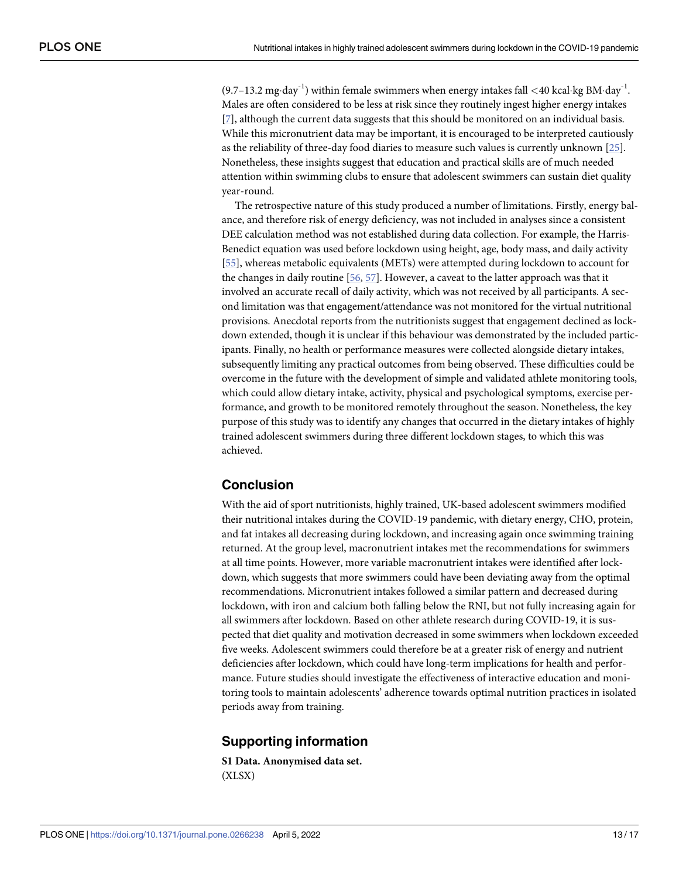<span id="page-12-0"></span> $(9.7-13.2 \text{ mg-day}^{-1})$  within female swimmers when energy intakes fall  $\lt 40$  kcal·kg BM·day<sup>-1</sup>. Males are often considered to be less at risk since they routinely ingest higher energy intakes [\[7](#page-13-0)], although the current data suggests that this should be monitored on an individual basis. While this micronutrient data may be important, it is encouraged to be interpreted cautiously as the reliability of three-day food diaries to measure such values is currently unknown [\[25\]](#page-14-0). Nonetheless, these insights suggest that education and practical skills are of much needed attention within swimming clubs to ensure that adolescent swimmers can sustain diet quality year-round.

The retrospective nature of this study produced a number of limitations. Firstly, energy balance, and therefore risk of energy deficiency, was not included in analyses since a consistent DEE calculation method was not established during data collection. For example, the Harris-Benedict equation was used before lockdown using height, age, body mass, and daily activity [\[55\]](#page-16-0), whereas metabolic equivalents (METs) were attempted during lockdown to account for the changes in daily routine [[56](#page-16-0), [57](#page-16-0)]. However, a caveat to the latter approach was that it involved an accurate recall of daily activity, which was not received by all participants. A second limitation was that engagement/attendance was not monitored for the virtual nutritional provisions. Anecdotal reports from the nutritionists suggest that engagement declined as lockdown extended, though it is unclear if this behaviour was demonstrated by the included participants. Finally, no health or performance measures were collected alongside dietary intakes, subsequently limiting any practical outcomes from being observed. These difficulties could be overcome in the future with the development of simple and validated athlete monitoring tools, which could allow dietary intake, activity, physical and psychological symptoms, exercise performance, and growth to be monitored remotely throughout the season. Nonetheless, the key purpose of this study was to identify any changes that occurred in the dietary intakes of highly trained adolescent swimmers during three different lockdown stages, to which this was achieved.

#### **Conclusion**

With the aid of sport nutritionists, highly trained, UK-based adolescent swimmers modified their nutritional intakes during the COVID-19 pandemic, with dietary energy, CHO, protein, and fat intakes all decreasing during lockdown, and increasing again once swimming training returned. At the group level, macronutrient intakes met the recommendations for swimmers at all time points. However, more variable macronutrient intakes were identified after lockdown, which suggests that more swimmers could have been deviating away from the optimal recommendations. Micronutrient intakes followed a similar pattern and decreased during lockdown, with iron and calcium both falling below the RNI, but not fully increasing again for all swimmers after lockdown. Based on other athlete research during COVID-19, it is suspected that diet quality and motivation decreased in some swimmers when lockdown exceeded five weeks. Adolescent swimmers could therefore be at a greater risk of energy and nutrient deficiencies after lockdown, which could have long-term implications for health and performance. Future studies should investigate the effectiveness of interactive education and monitoring tools to maintain adolescents' adherence towards optimal nutrition practices in isolated periods away from training.

#### **Supporting information**

**S1 [Data](http://www.plosone.org/article/fetchSingleRepresentation.action?uri=info:doi/10.1371/journal.pone.0266238.s001). Anonymised data set.** (XLSX)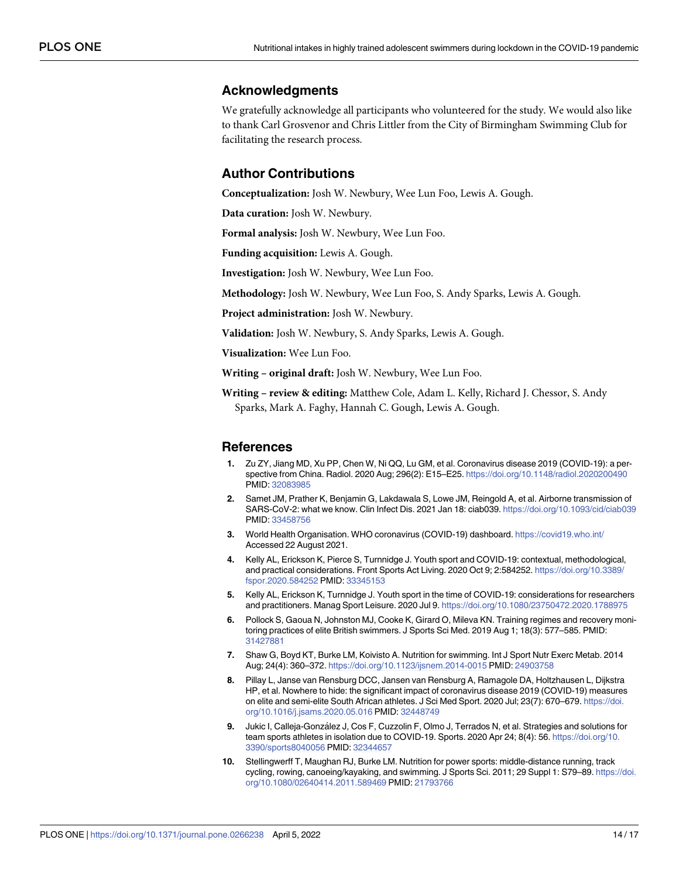#### <span id="page-13-0"></span>**Acknowledgments**

We gratefully acknowledge all participants who volunteered for the study. We would also like to thank Carl Grosvenor and Chris Littler from the City of Birmingham Swimming Club for facilitating the research process.

#### **Author Contributions**

**Conceptualization:** Josh W. Newbury, Wee Lun Foo, Lewis A. Gough.

**Data curation:** Josh W. Newbury.

**Formal analysis:** Josh W. Newbury, Wee Lun Foo.

**Funding acquisition:** Lewis A. Gough.

**Investigation:** Josh W. Newbury, Wee Lun Foo.

**Methodology:** Josh W. Newbury, Wee Lun Foo, S. Andy Sparks, Lewis A. Gough.

**Project administration:** Josh W. Newbury.

**Validation:** Josh W. Newbury, S. Andy Sparks, Lewis A. Gough.

**Visualization:** Wee Lun Foo.

**Writing – original draft:** Josh W. Newbury, Wee Lun Foo.

**Writing – review & editing:** Matthew Cole, Adam L. Kelly, Richard J. Chessor, S. Andy Sparks, Mark A. Faghy, Hannah C. Gough, Lewis A. Gough.

#### **References**

- **[1](#page-1-0).** Zu ZY, Jiang MD, Xu PP, Chen W, Ni QQ, Lu GM, et al. Coronavirus disease 2019 (COVID-19): a perspective from China. Radiol. 2020 Aug; 296(2): E15–E25. <https://doi.org/10.1148/radiol.2020200490> PMID: [32083985](http://www.ncbi.nlm.nih.gov/pubmed/32083985)
- **[2](#page-1-0).** Samet JM, Prather K, Benjamin G, Lakdawala S, Lowe JM, Reingold A, et al. Airborne transmission of SARS-CoV-2: what we know. Clin Infect Dis. 2021 Jan 18: ciab039. <https://doi.org/10.1093/cid/ciab039> PMID: [33458756](http://www.ncbi.nlm.nih.gov/pubmed/33458756)
- **[3](#page-1-0).** World Health Organisation. WHO coronavirus (COVID-19) dashboard. <https://covid19.who.int/> Accessed 22 August 2021.
- **[4](#page-1-0).** Kelly AL, Erickson K, Pierce S, Turnnidge J. Youth sport and COVID-19: contextual, methodological, and practical considerations. Front Sports Act Living. 2020 Oct 9; 2:584252. [https://doi.org/10.3389/](https://doi.org/10.3389/fspor.2020.584252) [fspor.2020.584252](https://doi.org/10.3389/fspor.2020.584252) PMID: [33345153](http://www.ncbi.nlm.nih.gov/pubmed/33345153)
- **[5](#page-1-0).** Kelly AL, Erickson K, Turnnidge J. Youth sport in the time of COVID-19: considerations for researchers and practitioners. Manag Sport Leisure. 2020 Jul 9. <https://doi.org/10.1080/23750472.2020.1788975>
- **[6](#page-1-0).** Pollock S, Gaoua N, Johnston MJ, Cooke K, Girard O, Mileva KN. Training regimes and recovery monitoring practices of elite British swimmers. J Sports Sci Med. 2019 Aug 1; 18(3): 577–585. PMID: [31427881](http://www.ncbi.nlm.nih.gov/pubmed/31427881)
- **[7](#page-11-0).** Shaw G, Boyd KT, Burke LM, Koivisto A. Nutrition for swimming. Int J Sport Nutr Exerc Metab. 2014 Aug; 24(4): 360–372. <https://doi.org/10.1123/ijsnem.2014-0015> PMID: [24903758](http://www.ncbi.nlm.nih.gov/pubmed/24903758)
- **[8](#page-1-0).** Pillay L, Janse van Rensburg DCC, Jansen van Rensburg A, Ramagole DA, Holtzhausen L, Dijkstra HP, et al. Nowhere to hide: the significant impact of coronavirus disease 2019 (COVID-19) measures on elite and semi-elite South African athletes. J Sci Med Sport. 2020 Jul; 23(7): 670–679. [https://doi.](https://doi.org/10.1016/j.jsams.2020.05.016) [org/10.1016/j.jsams.2020.05.016](https://doi.org/10.1016/j.jsams.2020.05.016) PMID: [32448749](http://www.ncbi.nlm.nih.gov/pubmed/32448749)
- **[9](#page-1-0).** Jukic I, Calleja-González J, Cos F, Cuzzolin F, Olmo J, Terrados N, et al. Strategies and solutions for team sports athletes in isolation due to COVID-19. Sports. 2020 Apr 24; 8(4): 56. [https://doi.org/10.](https://doi.org/10.3390/sports8040056) [3390/sports8040056](https://doi.org/10.3390/sports8040056) PMID: [32344657](http://www.ncbi.nlm.nih.gov/pubmed/32344657)
- **[10](#page-11-0).** Stellingwerff T, Maughan RJ, Burke LM. Nutrition for power sports: middle-distance running, track cycling, rowing, canoeing/kayaking, and swimming. J Sports Sci. 2011; 29 Suppl 1: S79–89. [https://doi.](https://doi.org/10.1080/02640414.2011.589469) [org/10.1080/02640414.2011.589469](https://doi.org/10.1080/02640414.2011.589469) PMID: [21793766](http://www.ncbi.nlm.nih.gov/pubmed/21793766)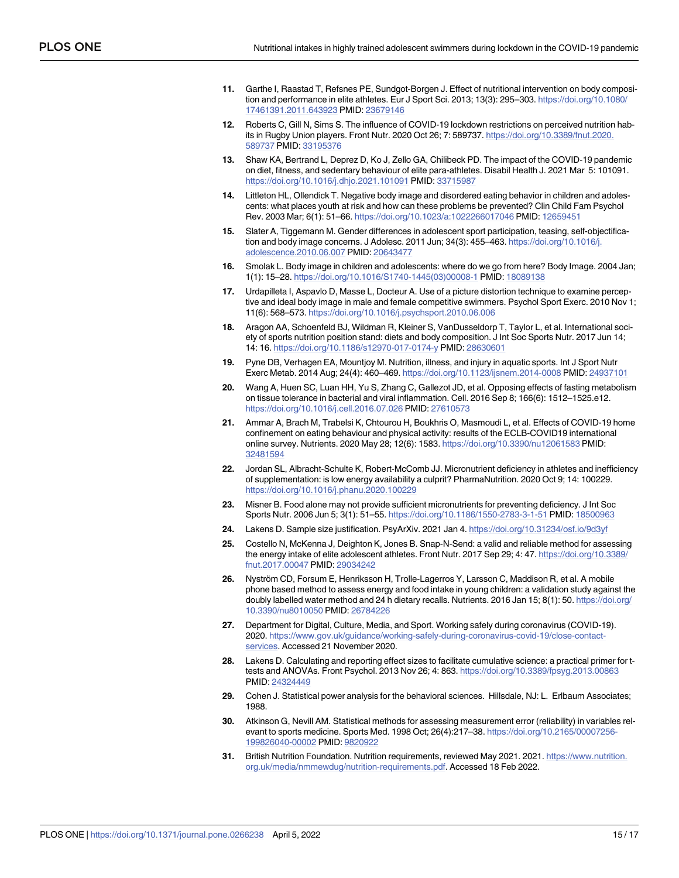- <span id="page-14-0"></span>**[11](#page-11-0).** Garthe I, Raastad T, Refsnes PE, Sundgot-Borgen J. Effect of nutritional intervention on body composition and performance in elite athletes. Eur J Sport Sci. 2013; 13(3): 295–303. [https://doi.org/10.1080/](https://doi.org/10.1080/17461391.2011.643923) [17461391.2011.643923](https://doi.org/10.1080/17461391.2011.643923) PMID: [23679146](http://www.ncbi.nlm.nih.gov/pubmed/23679146)
- **[12](#page-1-0).** Roberts C, Gill N, Sims S. The influence of COVID-19 lockdown restrictions on perceived nutrition habits in Rugby Union players. Front Nutr. 2020 Oct 26; 7: 589737. [https://doi.org/10.3389/fnut.2020.](https://doi.org/10.3389/fnut.2020.589737) [589737](https://doi.org/10.3389/fnut.2020.589737) PMID: [33195376](http://www.ncbi.nlm.nih.gov/pubmed/33195376)
- **[13](#page-1-0).** Shaw KA, Bertrand L, Deprez D, Ko J, Zello GA, Chilibeck PD. The impact of the COVID-19 pandemic on diet, fitness, and sedentary behaviour of elite para-athletes. Disabil Health J. 2021 Mar 5: 101091. <https://doi.org/10.1016/j.dhjo.2021.101091> PMID: [33715987](http://www.ncbi.nlm.nih.gov/pubmed/33715987)
- **[14](#page-1-0).** Littleton HL, Ollendick T. Negative body image and disordered eating behavior in children and adolescents: what places youth at risk and how can these problems be prevented? Clin Child Fam Psychol Rev. 2003 Mar; 6(1): 51–66. [https://doi.org/10.1023/a:1022266017046](https://doi.org/10.1023/a%3A1022266017046) PMID: [12659451](http://www.ncbi.nlm.nih.gov/pubmed/12659451)
- **15.** Slater A, Tiggemann M. Gender differences in adolescent sport participation, teasing, self-objectification and body image concerns. J Adolesc. 2011 Jun; 34(3): 455–463. [https://doi.org/10.1016/j.](https://doi.org/10.1016/j.adolescence.2010.06.007) [adolescence.2010.06.007](https://doi.org/10.1016/j.adolescence.2010.06.007) PMID: [20643477](http://www.ncbi.nlm.nih.gov/pubmed/20643477)
- **16.** Smolak L. Body image in children and adolescents: where do we go from here? Body Image. 2004 Jan; 1(1): 15–28. [https://doi.org/10.1016/S1740-1445\(03\)00008-1](https://doi.org/10.1016/S1740-1445%2803%2900008-1) PMID: [18089138](http://www.ncbi.nlm.nih.gov/pubmed/18089138)
- **[17](#page-1-0).** Urdapilleta I, Aspavlo D, Masse L, Docteur A. Use of a picture distortion technique to examine perceptive and ideal body image in male and female competitive swimmers. Psychol Sport Exerc. 2010 Nov 1; 11(6): 568–573. <https://doi.org/10.1016/j.psychsport.2010.06.006>
- **[18](#page-1-0).** Aragon AA, Schoenfeld BJ, Wildman R, Kleiner S, VanDusseldorp T, Taylor L, et al. International society of sports nutrition position stand: diets and body composition. J Int Soc Sports Nutr. 2017 Jun 14; 14: 16. <https://doi.org/10.1186/s12970-017-0174-y> PMID: [28630601](http://www.ncbi.nlm.nih.gov/pubmed/28630601)
- **[19](#page-1-0).** Pyne DB, Verhagen EA, Mountjoy M. Nutrition, illness, and injury in aquatic sports. Int J Sport Nutr Exerc Metab. 2014 Aug; 24(4): 460–469. <https://doi.org/10.1123/ijsnem.2014-0008> PMID: [24937101](http://www.ncbi.nlm.nih.gov/pubmed/24937101)
- **[20](#page-1-0).** Wang A, Huen SC, Luan HH, Yu S, Zhang C, Gallezot JD, et al. Opposing effects of fasting metabolism on tissue tolerance in bacterial and viral inflammation. Cell. 2016 Sep 8; 166(6): 1512–1525.e12. <https://doi.org/10.1016/j.cell.2016.07.026> PMID: [27610573](http://www.ncbi.nlm.nih.gov/pubmed/27610573)
- **[21](#page-1-0).** Ammar A, Brach M, Trabelsi K, Chtourou H, Boukhris O, Masmoudi L, et al. Effects of COVID-19 home confinement on eating behaviour and physical activity: results of the ECLB-COVID19 international online survey. Nutrients. 2020 May 28; 12(6): 1583. <https://doi.org/10.3390/nu12061583> PMID: [32481594](http://www.ncbi.nlm.nih.gov/pubmed/32481594)
- **[22](#page-1-0).** Jordan SL, Albracht-Schulte K, Robert-McComb JJ. Micronutrient deficiency in athletes and inefficiency of supplementation: is low energy availability a culprit? PharmaNutrition. 2020 Oct 9; 14: 100229. <https://doi.org/10.1016/j.phanu.2020.100229>
- **[23](#page-11-0).** Misner B. Food alone may not provide sufficient micronutrients for preventing deficiency. J Int Soc Sports Nutr. 2006 Jun 5; 3(1): 51–55. <https://doi.org/10.1186/1550-2783-3-1-51> PMID: [18500963](http://www.ncbi.nlm.nih.gov/pubmed/18500963)
- **[24](#page-2-0).** Lakens D. Sample size justification. PsyArXiv. 2021 Jan 4. <https://doi.org/10.31234/osf.io/9d3yf>
- **[25](#page-3-0).** Costello N, McKenna J, Deighton K, Jones B. Snap-N-Send: a valid and reliable method for assessing the energy intake of elite adolescent athletes. Front Nutr. 2017 Sep 29; 4: 47. [https://doi.org/10.3389/](https://doi.org/10.3389/fnut.2017.00047) [fnut.2017.00047](https://doi.org/10.3389/fnut.2017.00047) PMID: [29034242](http://www.ncbi.nlm.nih.gov/pubmed/29034242)
- [26](#page-2-0). Nyström CD, Forsum E, Henriksson H, Trolle-Lagerros Y, Larsson C, Maddison R, et al. A mobile phone based method to assess energy and food intake in young children: a validation study against the doubly labelled water method and 24 h dietary recalls. Nutrients. 2016 Jan 15; 8(1): 50. [https://doi.org/](https://doi.org/10.3390/nu8010050) [10.3390/nu8010050](https://doi.org/10.3390/nu8010050) PMID: [26784226](http://www.ncbi.nlm.nih.gov/pubmed/26784226)
- **[27](#page-3-0).** Department for Digital, Culture, Media, and Sport. Working safely during coronavirus (COVID-19). 2020. [https://www.gov.uk/guidance/working-safely-during-coronavirus-covid-19/close-contact](https://www.gov.uk/guidance/working-safely-during-coronavirus-covid-19/close-contact-services)[services](https://www.gov.uk/guidance/working-safely-during-coronavirus-covid-19/close-contact-services). Accessed 21 November 2020.
- **[28](#page-4-0).** Lakens D. Calculating and reporting effect sizes to facilitate cumulative science: a practical primer for ttests and ANOVAs. Front Psychol. 2013 Nov 26; 4: 863. <https://doi.org/10.3389/fpsyg.2013.00863> PMID: [24324449](http://www.ncbi.nlm.nih.gov/pubmed/24324449)
- **[29](#page-4-0).** Cohen J. Statistical power analysis for the behavioral sciences. Hillsdale, NJ: L. Erlbaum Associates; 1988.
- **[30](#page-4-0).** Atkinson G, Nevill AM. Statistical methods for assessing measurement error (reliability) in variables relevant to sports medicine. Sports Med. 1998 Oct; 26(4):217–38. [https://doi.org/10.2165/00007256-](https://doi.org/10.2165/00007256-199826040-00002) [199826040-00002](https://doi.org/10.2165/00007256-199826040-00002) PMID: [9820922](http://www.ncbi.nlm.nih.gov/pubmed/9820922)
- **[31](#page-7-0).** British Nutrition Foundation. Nutrition requirements, reviewed May 2021. 2021. [https://www.nutrition.](https://www.nutrition.org.uk/media/nmmewdug/nutrition-requirements.pdf) [org.uk/media/nmmewdug/nutrition-requirements.pdf.](https://www.nutrition.org.uk/media/nmmewdug/nutrition-requirements.pdf) Accessed 18 Feb 2022.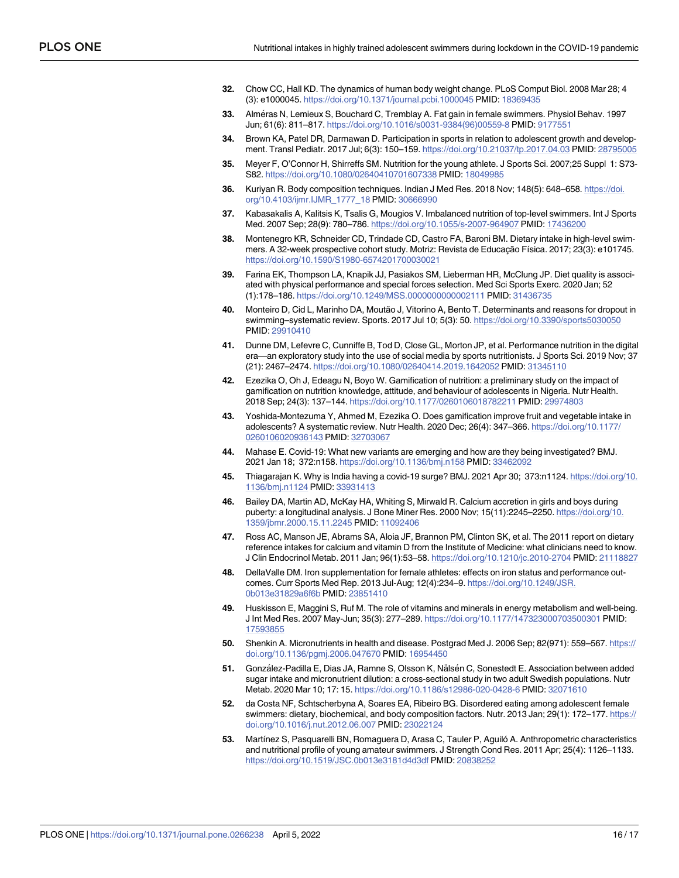- <span id="page-15-0"></span>**[32](#page-10-0).** Chow CC, Hall KD. The dynamics of human body weight change. PLoS Comput Biol. 2008 Mar 28; 4 (3): e1000045. <https://doi.org/10.1371/journal.pcbi.1000045> PMID: [18369435](http://www.ncbi.nlm.nih.gov/pubmed/18369435)
- **[33](#page-11-0).** Alme´ras N, Lemieux S, Bouchard C, Tremblay A. Fat gain in female swimmers. Physiol Behav. 1997 Jun; 61(6): 811–817. [https://doi.org/10.1016/s0031-9384\(96\)00559-8](https://doi.org/10.1016/s0031-9384%2896%2900559-8) PMID: [9177551](http://www.ncbi.nlm.nih.gov/pubmed/9177551)
- **[34](#page-11-0).** Brown KA, Patel DR, Darmawan D. Participation in sports in relation to adolescent growth and development. Transl Pediatr. 2017 Jul; 6(3): 150–159. <https://doi.org/10.21037/tp.2017.04.03> PMID: [28795005](http://www.ncbi.nlm.nih.gov/pubmed/28795005)
- **[35](#page-11-0).** Meyer F, O'Connor H, Shirreffs SM. Nutrition for the young athlete. J Sports Sci. 2007;25 Suppl 1: S73- S82. <https://doi.org/10.1080/02640410701607338> PMID: [18049985](http://www.ncbi.nlm.nih.gov/pubmed/18049985)
- **[36](#page-11-0).** Kuriyan R. Body composition techniques. Indian J Med Res. 2018 Nov; 148(5): 648–658. [https://doi.](https://doi.org/10.4103/ijmr.IJMR%5F1777%5F18) [org/10.4103/ijmr.IJMR\\_1777\\_18](https://doi.org/10.4103/ijmr.IJMR%5F1777%5F18) PMID: [30666990](http://www.ncbi.nlm.nih.gov/pubmed/30666990)
- **[37](#page-11-0).** Kabasakalis A, Kalitsis K, Tsalis G, Mougios V. Imbalanced nutrition of top-level swimmers. Int J Sports Med. 2007 Sep; 28(9): 780–786. <https://doi.org/10.1055/s-2007-964907> PMID: [17436200](http://www.ncbi.nlm.nih.gov/pubmed/17436200)
- **[38](#page-11-0).** Montenegro KR, Schneider CD, Trindade CD, Castro FA, Baroni BM. Dietary intake in high-level swimmers. A 32-week prospective cohort study. Motriz: Revista de Educação Física. 2017; 23(3): e101745. <https://doi.org/10.1590/S1980-6574201700030021>
- **[39](#page-11-0).** Farina EK, Thompson LA, Knapik JJ, Pasiakos SM, Lieberman HR, McClung JP. Diet quality is associated with physical performance and special forces selection. Med Sci Sports Exerc. 2020 Jan; 52 (1):178–186. <https://doi.org/10.1249/MSS.0000000000002111> PMID: [31436735](http://www.ncbi.nlm.nih.gov/pubmed/31436735)
- **[40](#page-11-0).** Monteiro D, Cid L, Marinho DA, Moutão J, Vitorino A, Bento T. Determinants and reasons for dropout in swimming–systematic review. Sports. 2017 Jul 10; 5(3): 50. <https://doi.org/10.3390/sports5030050> PMID: [29910410](http://www.ncbi.nlm.nih.gov/pubmed/29910410)
- **[41](#page-11-0).** Dunne DM, Lefevre C, Cunniffe B, Tod D, Close GL, Morton JP, et al. Performance nutrition in the digital era—an exploratory study into the use of social media by sports nutritionists. J Sports Sci. 2019 Nov; 37 (21): 2467–2474. <https://doi.org/10.1080/02640414.2019.1642052> PMID: [31345110](http://www.ncbi.nlm.nih.gov/pubmed/31345110)
- **42.** Ezezika O, Oh J, Edeagu N, Boyo W. Gamification of nutrition: a preliminary study on the impact of gamification on nutrition knowledge, attitude, and behaviour of adolescents in Nigeria. Nutr Health. 2018 Sep; 24(3): 137–144. <https://doi.org/10.1177/0260106018782211> PMID: [29974803](http://www.ncbi.nlm.nih.gov/pubmed/29974803)
- **[43](#page-11-0).** Yoshida-Montezuma Y, Ahmed M, Ezezika O. Does gamification improve fruit and vegetable intake in adolescents? A systematic review. Nutr Health. 2020 Dec; 26(4): 347–366. [https://doi.org/10.1177/](https://doi.org/10.1177/0260106020936143) [0260106020936143](https://doi.org/10.1177/0260106020936143) PMID: [32703067](http://www.ncbi.nlm.nih.gov/pubmed/32703067)
- **[44](#page-11-0).** Mahase E. Covid-19: What new variants are emerging and how are they being investigated? BMJ. 2021 Jan 18; 372:n158. <https://doi.org/10.1136/bmj.n158> PMID: [33462092](http://www.ncbi.nlm.nih.gov/pubmed/33462092)
- **[45](#page-11-0).** Thiagarajan K. Why is India having a covid-19 surge? BMJ. 2021 Apr 30; 373:n1124. [https://doi.org/10.](https://doi.org/10.1136/bmj.n1124) [1136/bmj.n1124](https://doi.org/10.1136/bmj.n1124) PMID: [33931413](http://www.ncbi.nlm.nih.gov/pubmed/33931413)
- **[46](#page-11-0).** Bailey DA, Martin AD, McKay HA, Whiting S, Mirwald R. Calcium accretion in girls and boys during puberty: a longitudinal analysis. J Bone Miner Res. 2000 Nov; 15(11):2245–2250. [https://doi.org/10.](https://doi.org/10.1359/jbmr.2000.15.11.2245) [1359/jbmr.2000.15.11.2245](https://doi.org/10.1359/jbmr.2000.15.11.2245) PMID: [11092406](http://www.ncbi.nlm.nih.gov/pubmed/11092406)
- **[47](#page-11-0).** Ross AC, Manson JE, Abrams SA, Aloia JF, Brannon PM, Clinton SK, et al. The 2011 report on dietary reference intakes for calcium and vitamin D from the Institute of Medicine: what clinicians need to know. J Clin Endocrinol Metab. 2011 Jan; 96(1):53–58. <https://doi.org/10.1210/jc.2010-2704> PMID: [21118827](http://www.ncbi.nlm.nih.gov/pubmed/21118827)
- **[48](#page-11-0).** DellaValle DM. Iron supplementation for female athletes: effects on iron status and performance outcomes. Curr Sports Med Rep. 2013 Jul-Aug; 12(4):234–9. [https://doi.org/10.1249/JSR.](https://doi.org/10.1249/JSR.0b013e31829a6f6b) [0b013e31829a6f6b](https://doi.org/10.1249/JSR.0b013e31829a6f6b) PMID: [23851410](http://www.ncbi.nlm.nih.gov/pubmed/23851410)
- **[49](#page-11-0).** Huskisson E, Maggini S, Ruf M. The role of vitamins and minerals in energy metabolism and well-being. J Int Med Res. 2007 May-Jun; 35(3): 277–289. <https://doi.org/10.1177/147323000703500301> PMID: [17593855](http://www.ncbi.nlm.nih.gov/pubmed/17593855)
- **[50](#page-11-0).** Shenkin A. Micronutrients in health and disease. Postgrad Med J. 2006 Sep; 82(971): 559–567. [https://](https://doi.org/10.1136/pgmj.2006.047670) [doi.org/10.1136/pgmj.2006.047670](https://doi.org/10.1136/pgmj.2006.047670) PMID: [16954450](http://www.ncbi.nlm.nih.gov/pubmed/16954450)
- **[51](#page-11-0).** González-Padilla E, Dias JA, Ramne S, Olsson K, Nälsén C, Sonestedt E. Association between added sugar intake and micronutrient dilution: a cross-sectional study in two adult Swedish populations. Nutr Metab. 2020 Mar 10; 17: 15. <https://doi.org/10.1186/s12986-020-0428-6> PMID: [32071610](http://www.ncbi.nlm.nih.gov/pubmed/32071610)
- **[52](#page-11-0).** da Costa NF, Schtscherbyna A, Soares EA, Ribeiro BG. Disordered eating among adolescent female swimmers: dietary, biochemical, and body composition factors. Nutr. 2013 Jan; 29(1): 172–177. [https://](https://doi.org/10.1016/j.nut.2012.06.007) [doi.org/10.1016/j.nut.2012.06.007](https://doi.org/10.1016/j.nut.2012.06.007) PMID: [23022124](http://www.ncbi.nlm.nih.gov/pubmed/23022124)
- **53.** Martínez S, Pasquarelli BN, Romaguera D, Arasa C, Tauler P, Aguiló A. Anthropometric characteristics and nutritional profile of young amateur swimmers. J Strength Cond Res. 2011 Apr; 25(4): 1126–1133. <https://doi.org/10.1519/JSC.0b013e3181d4d3df> PMID: [20838252](http://www.ncbi.nlm.nih.gov/pubmed/20838252)